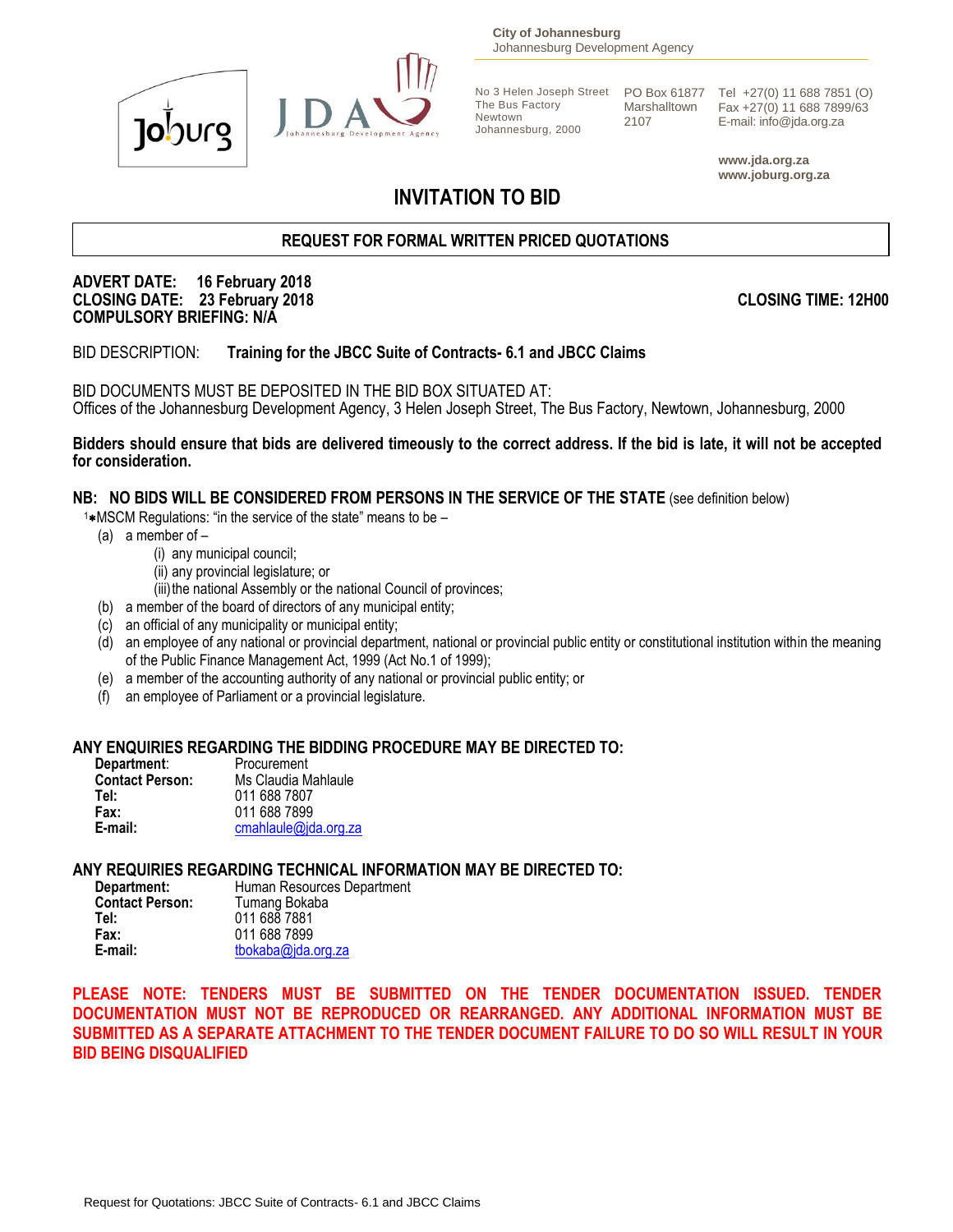



**City of Johannesburg** Johannesburg Development Agency

The Bus Factory Newtown Johannesburg, 2000 Marshalltown 2107

No 3 Helen Joseph Street PO Box 61877 Tel +27(0) 11 688 7851 (O) Fax +27(0) 11 688 7899/63 E-mail: info@jda.org.za

> **www.jda.org.za www.joburg.org.za**

# **INVITATION TO BID**

# **REQUEST FOR FORMAL WRITTEN PRICED QUOTATIONS**

### **ADVERT DATE: 16 February 2018 CLOSING DATE: 23 February 2018 CLOSING TIME: 12H00 COMPULSORY BRIEFING: N/A**

BID DESCRIPTION: **Training for the JBCC Suite of Contracts- 6.1 and JBCC Claims**

BID DOCUMENTS MUST BE DEPOSITED IN THE BID BOX SITUATED AT: Offices of the Johannesburg Development Agency, 3 Helen Joseph Street, The Bus Factory, Newtown, Johannesburg, 2000

**Bidders should ensure that bids are delivered timeously to the correct address. If the bid is late, it will not be accepted for consideration.**

# **NB: NO BIDS WILL BE CONSIDERED FROM PERSONS IN THE SERVICE OF THE STATE** (see definition below)

 $1*$ MSCM Regulations: "in the service of the state" means to be  $-$ 

- (a) a member of
	- (i) any municipal council;
	- (ii) any provincial legislature; or
	- (iii) the national Assembly or the national Council of provinces;
- (b) a member of the board of directors of any municipal entity;
- (c) an official of any municipality or municipal entity;
- (d) an employee of any national or provincial department, national or provincial public entity or constitutional institution within the meaning of the Public Finance Management Act, 1999 (Act No.1 of 1999);
- (e) a member of the accounting authority of any national or provincial public entity; or
- (f) an employee of Parliament or a provincial legislature.

# **ANY ENQUIRIES REGARDING THE BIDDING PROCEDURE MAY BE DIRECTED TO:**

| Department:            | Procurement          |
|------------------------|----------------------|
| <b>Contact Person:</b> | Ms Claudia Mahlaule  |
| Tel:                   | 011 688 7807         |
| Fax:                   | 011 688 7899         |
| E-mail:                | cmahlaule@jda.org.za |

# **ANY REQUIRIES REGARDING TECHNICAL INFORMATION MAY BE DIRECTED TO:**

| Department:            | Human Resources Department |
|------------------------|----------------------------|
| <b>Contact Person:</b> | Tumang Bokaba              |
| Tel:                   | 011 688 7881               |
| Fax:                   | 011 688 7899               |
| E-mail:                | tbokaba@jda.org.za         |

**PLEASE NOTE: TENDERS MUST BE SUBMITTED ON THE TENDER DOCUMENTATION ISSUED. TENDER DOCUMENTATION MUST NOT BE REPRODUCED OR REARRANGED. ANY ADDITIONAL INFORMATION MUST BE SUBMITTED AS A SEPARATE ATTACHMENT TO THE TENDER DOCUMENT FAILURE TO DO SO WILL RESULT IN YOUR BID BEING DISQUALIFIED**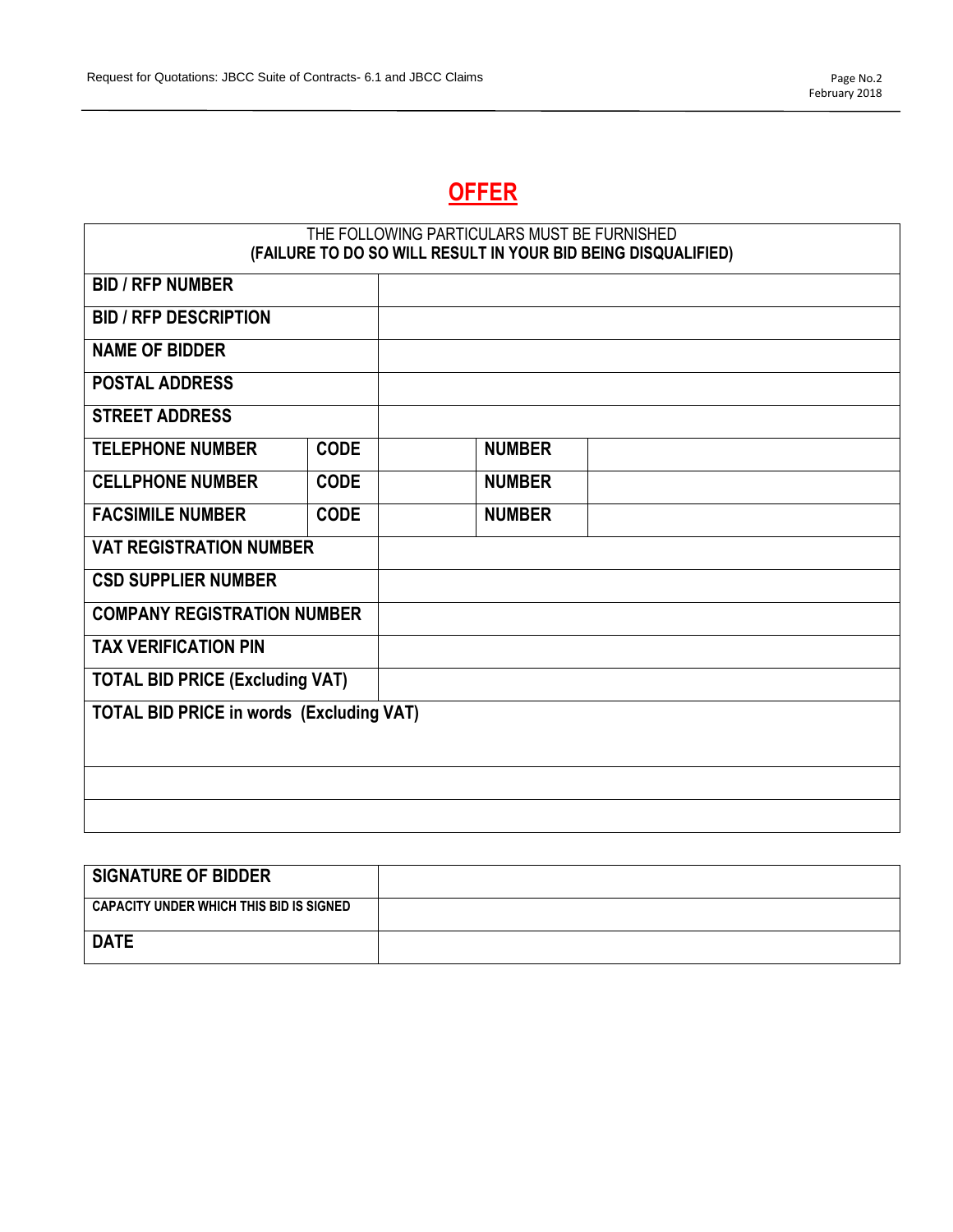# **OFFER**

|                                                 |             | THE FOLLOWING PARTICULARS MUST BE FURNISHED<br>(FAILURE TO DO SO WILL RESULT IN YOUR BID BEING DISQUALIFIED) |  |
|-------------------------------------------------|-------------|--------------------------------------------------------------------------------------------------------------|--|
| <b>BID / RFP NUMBER</b>                         |             |                                                                                                              |  |
| <b>BID / RFP DESCRIPTION</b>                    |             |                                                                                                              |  |
| <b>NAME OF BIDDER</b>                           |             |                                                                                                              |  |
| <b>POSTAL ADDRESS</b>                           |             |                                                                                                              |  |
| <b>STREET ADDRESS</b>                           |             |                                                                                                              |  |
| <b>TELEPHONE NUMBER</b>                         | <b>CODE</b> | <b>NUMBER</b>                                                                                                |  |
| <b>CELLPHONE NUMBER</b>                         | <b>CODE</b> | <b>NUMBER</b>                                                                                                |  |
| <b>FACSIMILE NUMBER</b>                         | <b>CODE</b> | <b>NUMBER</b>                                                                                                |  |
| <b>VAT REGISTRATION NUMBER</b>                  |             |                                                                                                              |  |
| <b>CSD SUPPLIER NUMBER</b>                      |             |                                                                                                              |  |
| <b>COMPANY REGISTRATION NUMBER</b>              |             |                                                                                                              |  |
| <b>TAX VERIFICATION PIN</b>                     |             |                                                                                                              |  |
| <b>TOTAL BID PRICE (Excluding VAT)</b>          |             |                                                                                                              |  |
| <b>TOTAL BID PRICE in words (Excluding VAT)</b> |             |                                                                                                              |  |
|                                                 |             |                                                                                                              |  |
|                                                 |             |                                                                                                              |  |
|                                                 |             |                                                                                                              |  |

| <b>SIGNATURE OF BIDDER</b>              |  |
|-----------------------------------------|--|
| CAPACITY UNDER WHICH THIS BID IS SIGNED |  |
| <b>DATE</b>                             |  |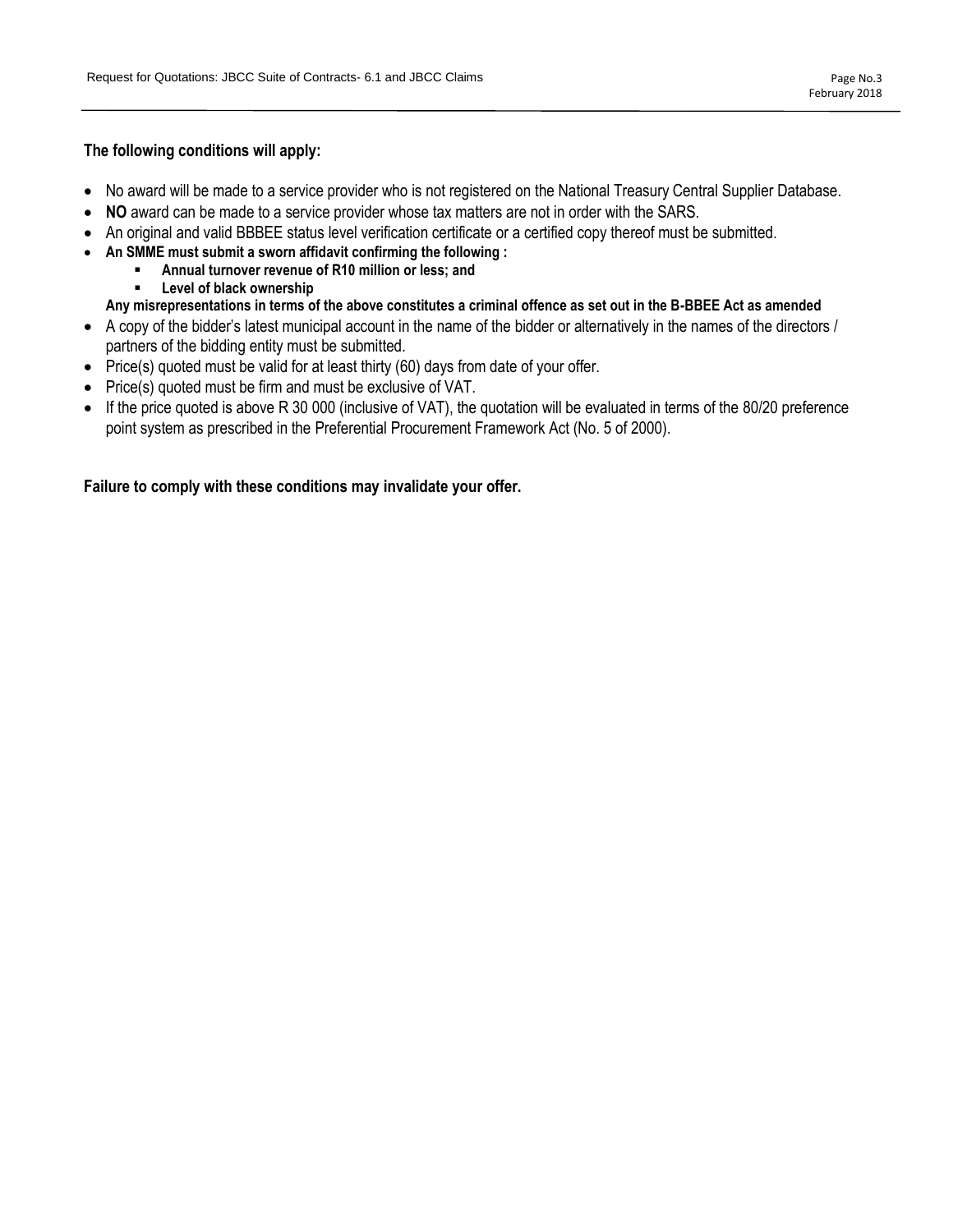### **The following conditions will apply:**

- No award will be made to a service provider who is not registered on the National Treasury Central Supplier Database.
- **NO** award can be made to a service provider whose tax matters are not in order with the SARS.
- An original and valid BBBEE status level verification certificate or a certified copy thereof must be submitted.
- **An SMME must submit a sworn affidavit confirming the following :**
- **Annual turnover revenue of R10 million or less; and**
	- **Level of black ownership**
- **Any misrepresentations in terms of the above constitutes a criminal offence as set out in the B-BBEE Act as amended**
- A copy of the bidder's latest municipal account in the name of the bidder or alternatively in the names of the directors / partners of the bidding entity must be submitted.
- Price(s) quoted must be valid for at least thirty (60) days from date of your offer.
- Price(s) quoted must be firm and must be exclusive of VAT.
- If the price quoted is above R 30 000 (inclusive of VAT), the quotation will be evaluated in terms of the 80/20 preference point system as prescribed in the Preferential Procurement Framework Act (No. 5 of 2000).

### **Failure to comply with these conditions may invalidate your offer.**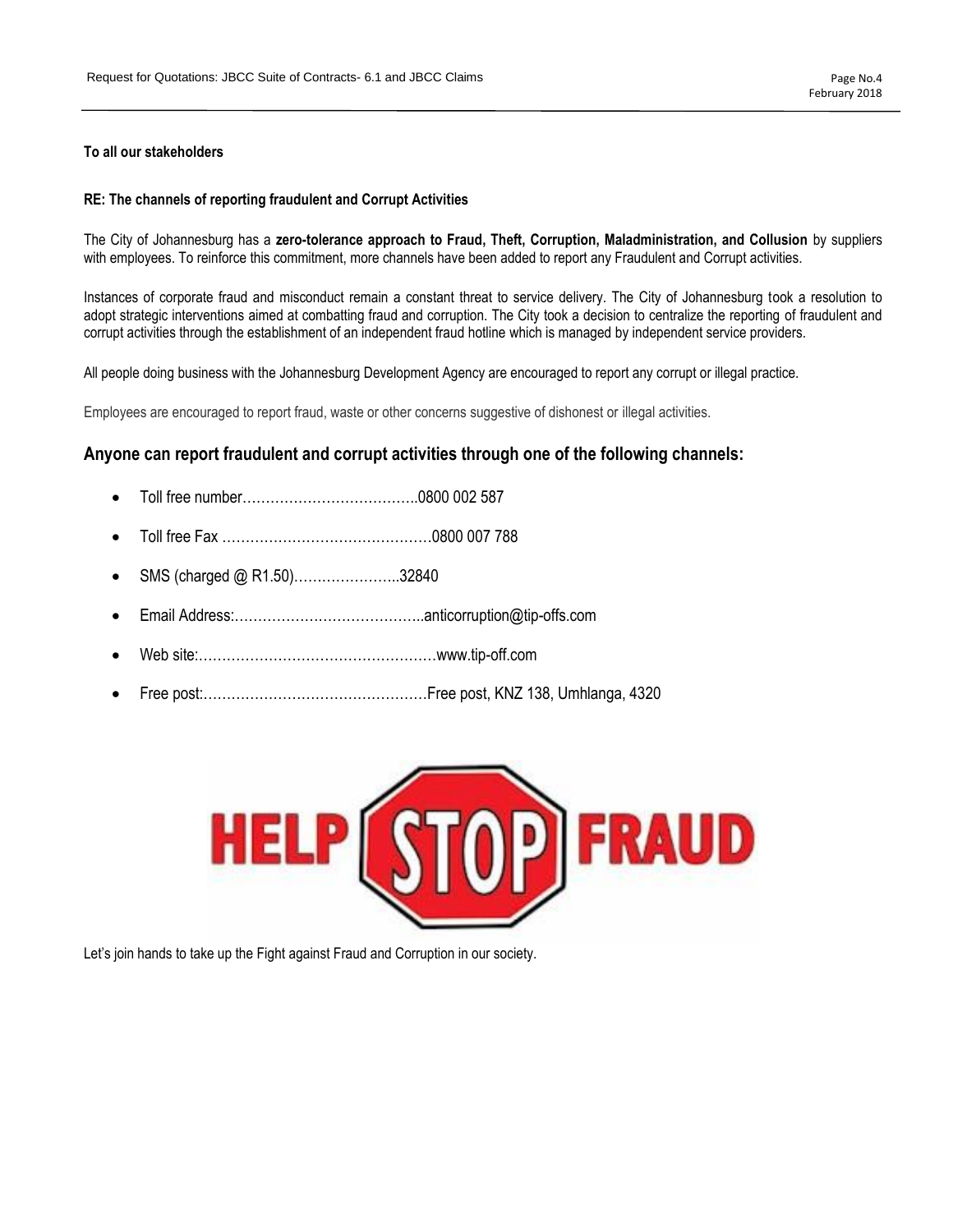### **To all our stakeholders**

#### **RE: The channels of reporting fraudulent and Corrupt Activities**

The City of Johannesburg has a **zero-tolerance approach to Fraud, Theft, Corruption, Maladministration, and Collusion** by suppliers with employees. To reinforce this commitment, more channels have been added to report any Fraudulent and Corrupt activities.

Instances of corporate fraud and misconduct remain a constant threat to service delivery. The City of Johannesburg took a resolution to adopt strategic interventions aimed at combatting fraud and corruption. The City took a decision to centralize the reporting of fraudulent and corrupt activities through the establishment of an independent fraud hotline which is managed by independent service providers.

All people doing business with the Johannesburg Development Agency are encouraged to report any corrupt or illegal practice.

Employees are encouraged to report fraud, waste or other concerns suggestive of dishonest or illegal activities.

# **Anyone can report fraudulent and corrupt activities through one of the following channels:**

- Toll free number………………………………..0800 002 587
- Toll free Fax ………………………………………0800 007 788
- SMS (charged @ R1.50)…………………..32840
- Email Address:…………………………………..anticorruption@tip-offs.com
- Web site:……………………………………………www.tip-off.com
- Free post:…………………………………………Free post, KNZ 138, Umhlanga, 4320



Let's join hands to take up the Fight against Fraud and Corruption in our society.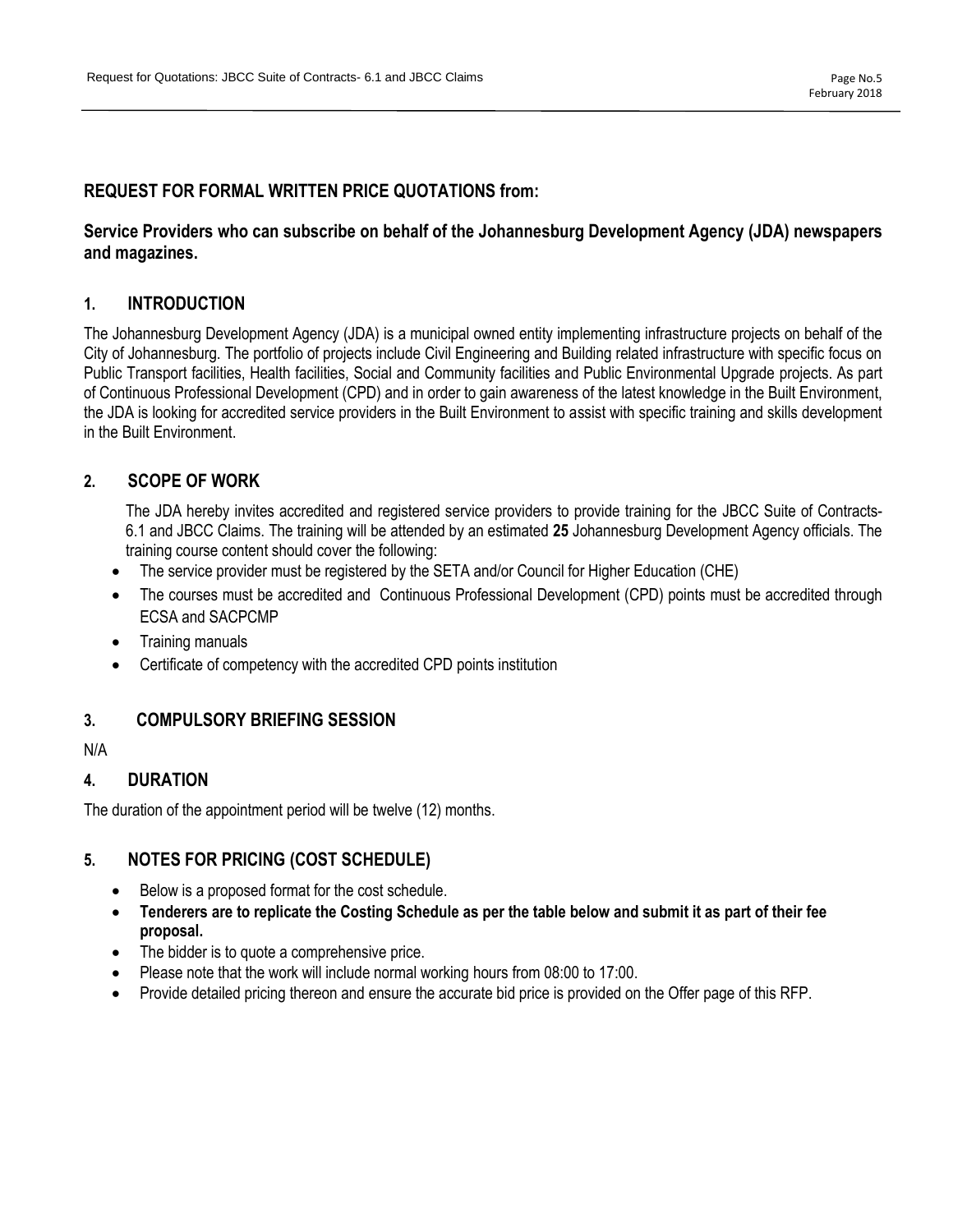# **REQUEST FOR FORMAL WRITTEN PRICE QUOTATIONS from:**

# **Service Providers who can subscribe on behalf of the Johannesburg Development Agency (JDA) newspapers and magazines.**

# **1. INTRODUCTION**

The Johannesburg Development Agency (JDA) is a municipal owned entity implementing infrastructure projects on behalf of the City of Johannesburg. The portfolio of projects include Civil Engineering and Building related infrastructure with specific focus on Public Transport facilities, Health facilities, Social and Community facilities and Public Environmental Upgrade projects. As part of Continuous Professional Development (CPD) and in order to gain awareness of the latest knowledge in the Built Environment, the JDA is looking for accredited service providers in the Built Environment to assist with specific training and skills development in the Built Environment.

# **2. SCOPE OF WORK**

The JDA hereby invites accredited and registered service providers to provide training for the JBCC Suite of Contracts-6.1 and JBCC Claims. The training will be attended by an estimated **25** Johannesburg Development Agency officials. The training course content should cover the following:

- The service provider must be registered by the SETA and/or Council for Higher Education (CHE)
- The courses must be accredited and Continuous Professional Development (CPD) points must be accredited through ECSA and SACPCMP
- Training manuals
- Certificate of competency with the accredited CPD points institution

# **3. COMPULSORY BRIEFING SESSION**

N/A

# **4. DURATION**

The duration of the appointment period will be twelve (12) months.

# **5. NOTES FOR PRICING (COST SCHEDULE)**

- Below is a proposed format for the cost schedule.
- **Tenderers are to replicate the Costing Schedule as per the table below and submit it as part of their fee proposal.**
- The bidder is to quote a comprehensive price.
- Please note that the work will include normal working hours from 08:00 to 17:00.
- Provide detailed pricing thereon and ensure the accurate bid price is provided on the Offer page of this RFP.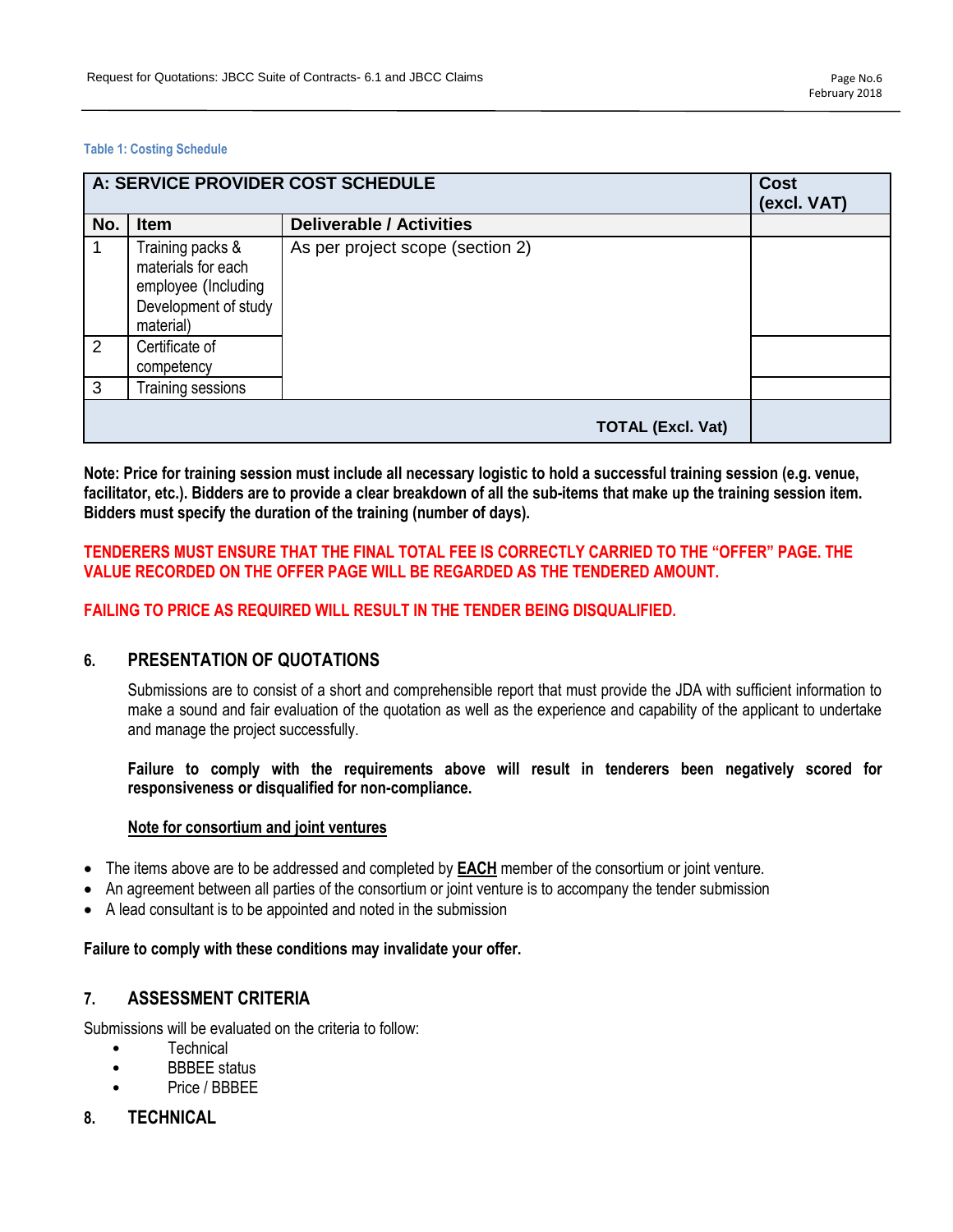#### **Table 1: Costing Schedule**

|     | A: SERVICE PROVIDER COST SCHEDULE                                                                  | <b>Cost</b><br>(excl. VAT)       |  |
|-----|----------------------------------------------------------------------------------------------------|----------------------------------|--|
| No. | Item                                                                                               | <b>Deliverable / Activities</b>  |  |
| -1  | Training packs &<br>materials for each<br>employee (Including<br>Development of study<br>material) | As per project scope (section 2) |  |
| 2   | Certificate of<br>competency                                                                       |                                  |  |
| 3   | Training sessions                                                                                  |                                  |  |
|     |                                                                                                    | <b>TOTAL (Excl. Vat)</b>         |  |

**Note: Price for training session must include all necessary logistic to hold a successful training session (e.g. venue, facilitator, etc.). Bidders are to provide a clear breakdown of all the sub-items that make up the training session item. Bidders must specify the duration of the training (number of days).**

# **TENDERERS MUST ENSURE THAT THE FINAL TOTAL FEE IS CORRECTLY CARRIED TO THE "OFFER" PAGE. THE VALUE RECORDED ON THE OFFER PAGE WILL BE REGARDED AS THE TENDERED AMOUNT.**

### **FAILING TO PRICE AS REQUIRED WILL RESULT IN THE TENDER BEING DISQUALIFIED.**

# **6. PRESENTATION OF QUOTATIONS**

Submissions are to consist of a short and comprehensible report that must provide the JDA with sufficient information to make a sound and fair evaluation of the quotation as well as the experience and capability of the applicant to undertake and manage the project successfully.

**Failure to comply with the requirements above will result in tenderers been negatively scored for responsiveness or disqualified for non-compliance.**

#### **Note for consortium and joint ventures**

- The items above are to be addressed and completed by **EACH** member of the consortium or joint venture.
- An agreement between all parties of the consortium or joint venture is to accompany the tender submission
- A lead consultant is to be appointed and noted in the submission

### **Failure to comply with these conditions may invalidate your offer.**

# **7. ASSESSMENT CRITERIA**

Submissions will be evaluated on the criteria to follow:

- **Technical**
- BBBEE status
- Price / BBBEE
- **8. TECHNICAL**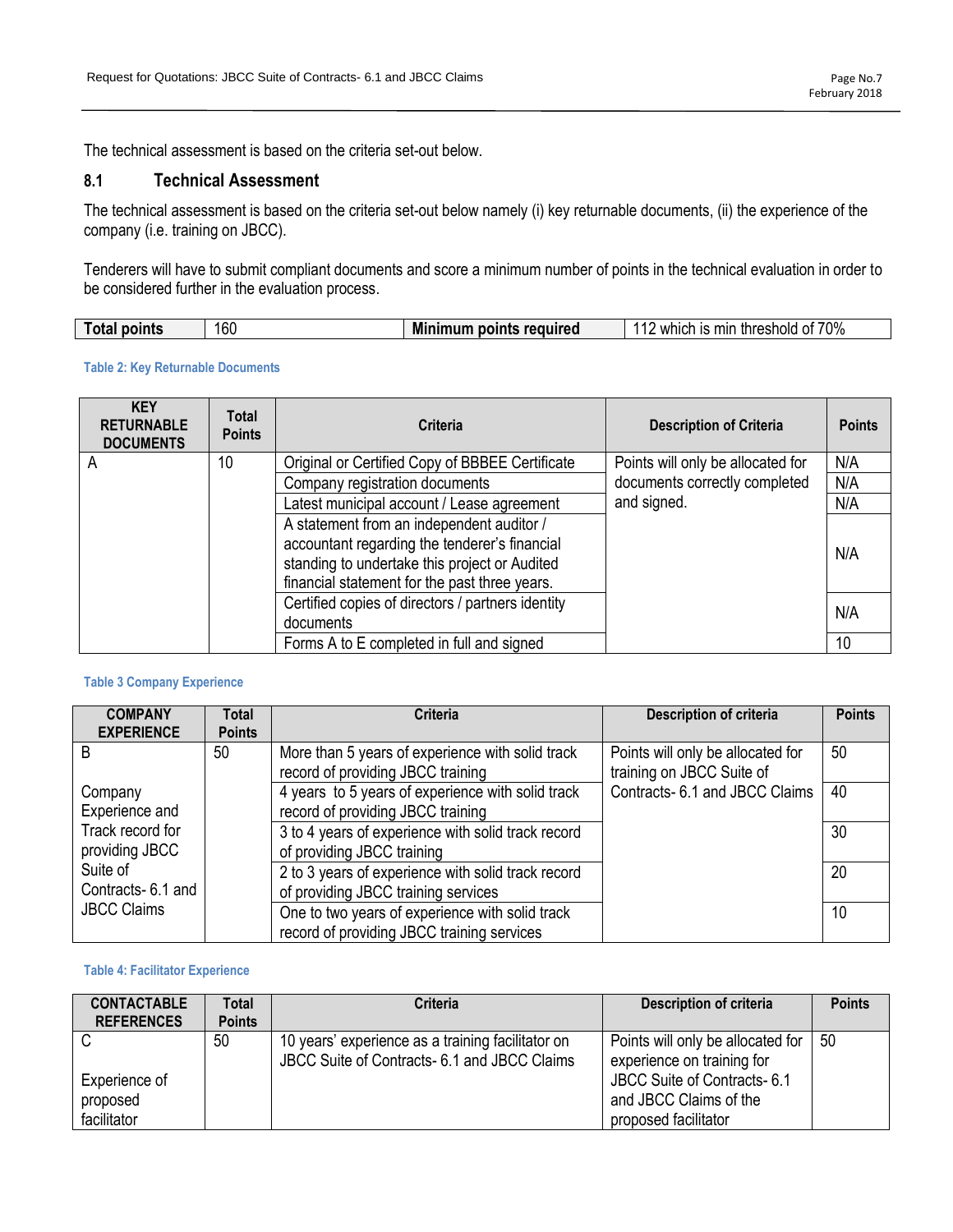The technical assessment is based on the criteria set-out below.

# **8.1 Technical Assessment**

The technical assessment is based on the criteria set-out below namely (i) key returnable documents, (ii) the experience of the company (i.e. training on JBCC).

Tenderers will have to submit compliant documents and score a minimum number of points in the technical evaluation in order to be considered further in the evaluation process.

| 70%<br>160<br>required<br>Mı<br>------<br>----<br>reshold<br>mır<br>points<br>.<br>I ota<br>mres<br>wnici<br>ЭΓ<br>-נו |
|------------------------------------------------------------------------------------------------------------------------|
|------------------------------------------------------------------------------------------------------------------------|

#### **Table 2: Key Returnable Documents**

| <b>KEY</b><br><b>RETURNABLE</b><br><b>DOCUMENTS</b> | <b>Total</b><br><b>Points</b> | <b>Criteria</b>                                                                                                                                                                              | <b>Description of Criteria</b>    | <b>Points</b> |
|-----------------------------------------------------|-------------------------------|----------------------------------------------------------------------------------------------------------------------------------------------------------------------------------------------|-----------------------------------|---------------|
| A                                                   | 10                            | Original or Certified Copy of BBBEE Certificate                                                                                                                                              | Points will only be allocated for | N/A           |
|                                                     |                               | Company registration documents                                                                                                                                                               | documents correctly completed     | N/A           |
|                                                     |                               | Latest municipal account / Lease agreement                                                                                                                                                   | and signed.                       | N/A           |
|                                                     |                               | A statement from an independent auditor /<br>accountant regarding the tenderer's financial<br>standing to undertake this project or Audited<br>financial statement for the past three years. |                                   | N/A           |
|                                                     |                               | Certified copies of directors / partners identity<br>documents                                                                                                                               |                                   | N/A           |
|                                                     |                               | Forms A to E completed in full and signed                                                                                                                                                    |                                   | 10            |

#### **Table 3 Company Experience**

| <b>COMPANY</b><br><b>EXPERIENCE</b> | <b>Total</b><br><b>Points</b> | <b>Criteria</b>                                                                               | <b>Description of criteria</b>                                 | <b>Points</b> |
|-------------------------------------|-------------------------------|-----------------------------------------------------------------------------------------------|----------------------------------------------------------------|---------------|
| B                                   | 50                            | More than 5 years of experience with solid track<br>record of providing JBCC training         | Points will only be allocated for<br>training on JBCC Suite of | 50            |
| Company<br>Experience and           |                               | 4 years to 5 years of experience with solid track<br>record of providing JBCC training        | Contracts- 6.1 and JBCC Claims                                 | 40            |
| Track record for<br>providing JBCC  |                               | 3 to 4 years of experience with solid track record<br>of providing JBCC training              |                                                                | 30            |
| Suite of<br>Contracts-6.1 and       |                               | 2 to 3 years of experience with solid track record<br>of providing JBCC training services     |                                                                | 20            |
| <b>JBCC Claims</b>                  |                               | One to two years of experience with solid track<br>record of providing JBCC training services |                                                                | 10            |

#### **Table 4: Facilitator Experience**

| <b>CONTACTABLE</b><br><b>REFERENCES</b> | Total<br><b>Points</b> | <b>Criteria</b>                                                                                   | Description of criteria                                         | <b>Points</b> |
|-----------------------------------------|------------------------|---------------------------------------------------------------------------------------------------|-----------------------------------------------------------------|---------------|
|                                         | 50                     | 10 years' experience as a training facilitator on<br>JBCC Suite of Contracts- 6.1 and JBCC Claims | Points will only be allocated for<br>experience on training for | 50            |
| Experience of<br>proposed               |                        |                                                                                                   | JBCC Suite of Contracts- 6.1<br>and JBCC Claims of the          |               |
| facilitator                             |                        |                                                                                                   | proposed facilitator                                            |               |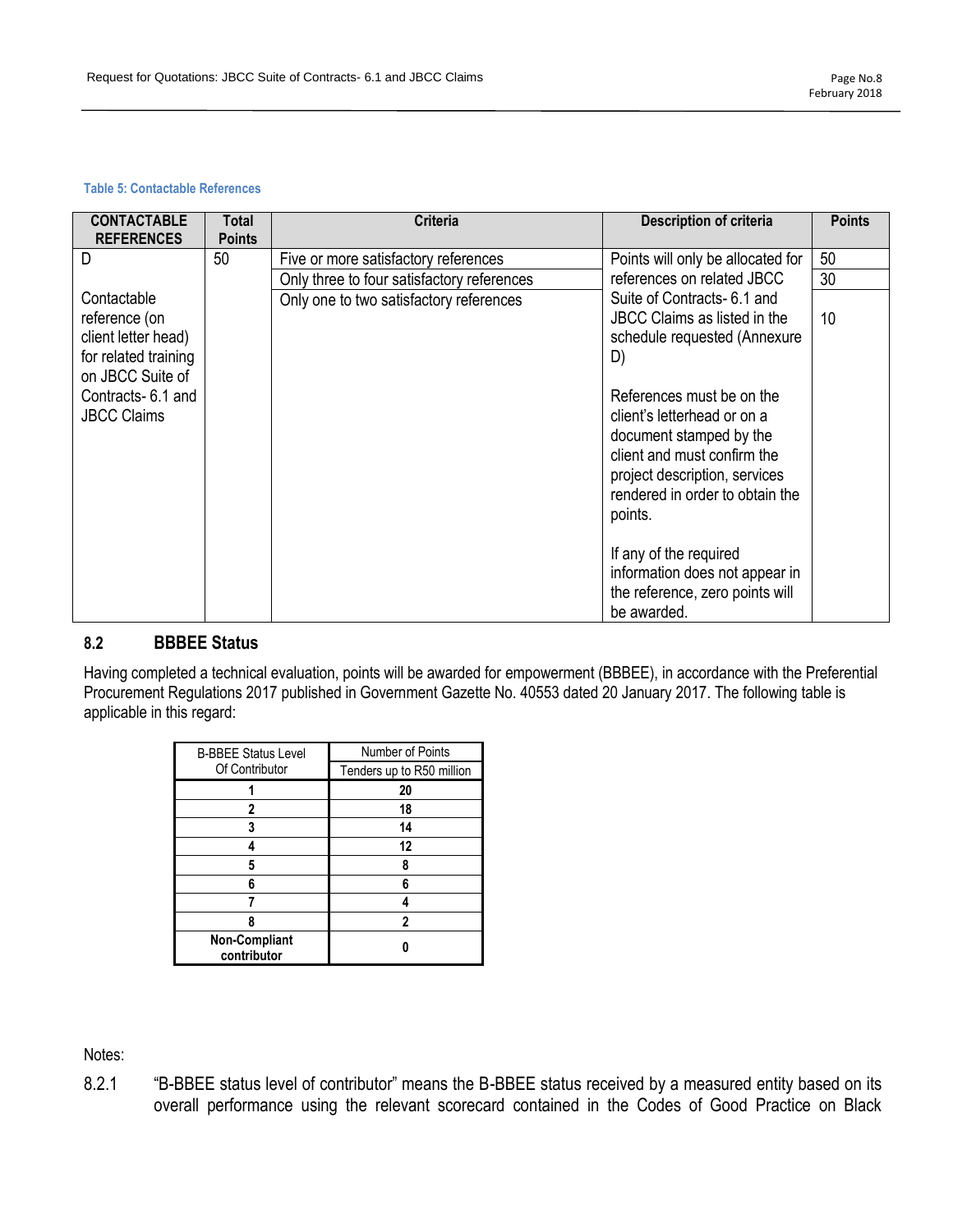#### **Table 5: Contactable References**

| <b>CONTACTABLE</b><br><b>REFERENCES</b>                                                         | Total<br><b>Points</b> | <b>Criteria</b>                            | <b>Description of criteria</b>                                                                                                                                                                    | <b>Points</b> |
|-------------------------------------------------------------------------------------------------|------------------------|--------------------------------------------|---------------------------------------------------------------------------------------------------------------------------------------------------------------------------------------------------|---------------|
| D                                                                                               | 50                     | Five or more satisfactory references       | Points will only be allocated for                                                                                                                                                                 | 50            |
|                                                                                                 |                        | Only three to four satisfactory references | references on related JBCC                                                                                                                                                                        | 30            |
| Contactable<br>reference (on<br>client letter head)<br>for related training<br>on JBCC Suite of |                        | Only one to two satisfactory references    | Suite of Contracts- 6.1 and<br>JBCC Claims as listed in the<br>schedule requested (Annexure<br>D)                                                                                                 | 10            |
| Contracts-6.1 and<br><b>JBCC Claims</b>                                                         |                        |                                            | References must be on the<br>client's letterhead or on a<br>document stamped by the<br>client and must confirm the<br>project description, services<br>rendered in order to obtain the<br>points. |               |
|                                                                                                 |                        |                                            | If any of the required<br>information does not appear in<br>the reference, zero points will<br>be awarded.                                                                                        |               |

# **8.2 BBBEE Status**

Having completed a technical evaluation, points will be awarded for empowerment (BBBEE), in accordance with the Preferential Procurement Regulations 2017 published in Government Gazette No. 40553 dated 20 January 2017. The following table is applicable in this regard:

| <b>B-BBEE Status Level</b>          | <b>Number of Points</b>   |
|-------------------------------------|---------------------------|
| Of Contributor                      | Tenders up to R50 million |
|                                     | 20                        |
| 2                                   | 18                        |
| 3                                   | 14                        |
|                                     | 12                        |
| 5                                   |                           |
| ĥ                                   | 6                         |
|                                     |                           |
|                                     | າ                         |
| <b>Non-Compliant</b><br>contributor |                           |

Notes:

8.2.1 "B-BBEE status level of contributor" means the B-BBEE status received by a measured entity based on its overall performance using the relevant scorecard contained in the Codes of Good Practice on Black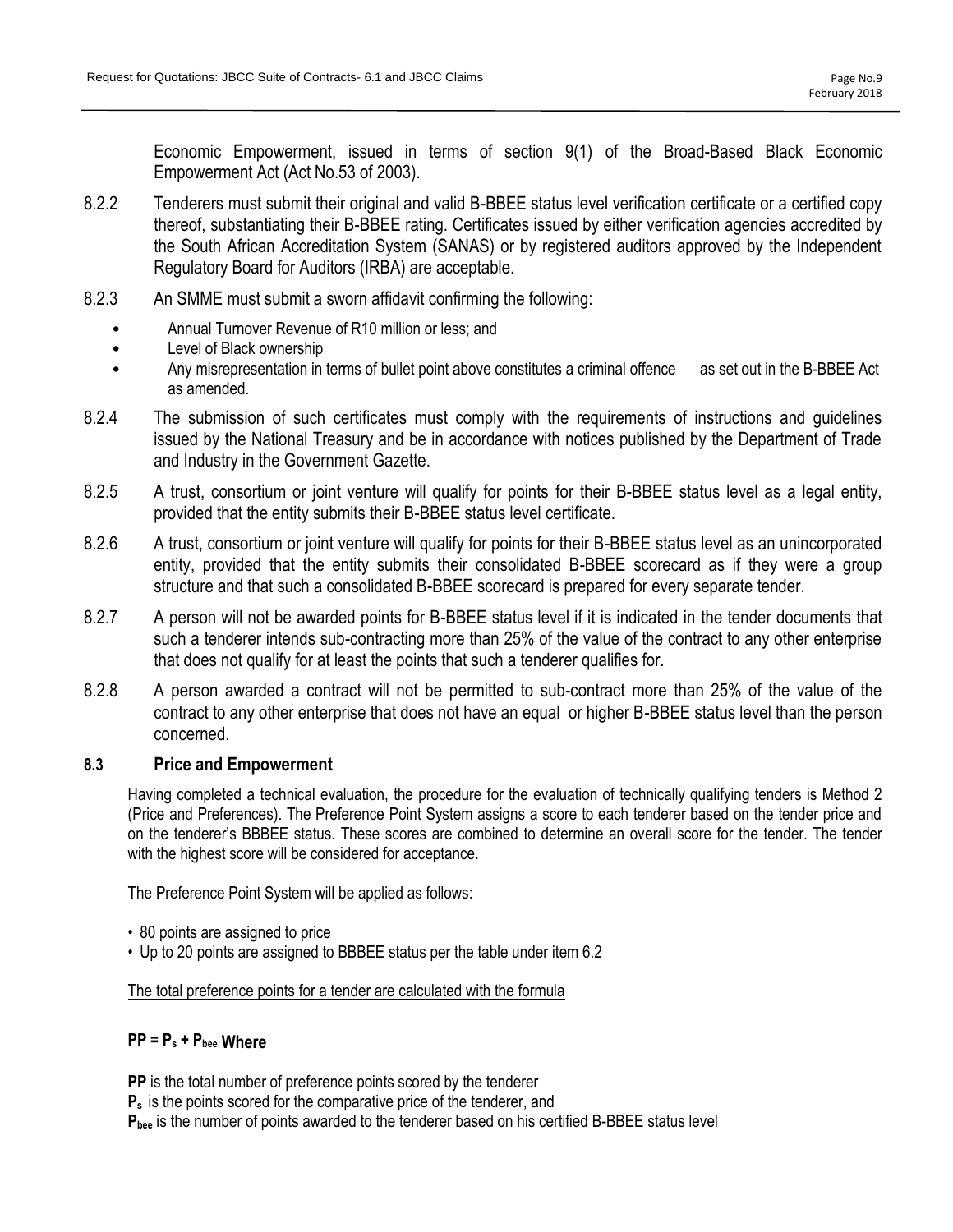Economic Empowerment, issued in terms of section 9(1) of the Broad-Based Black Economic Empowerment Act (Act No.53 of 2003).

- 8.2.2 Tenderers must submit their original and valid B-BBEE status level verification certificate or a certified copy thereof, substantiating their B-BBEE rating. Certificates issued by either verification agencies accredited by the South African Accreditation System (SANAS) or by registered auditors approved by the Independent Regulatory Board for Auditors (IRBA) are acceptable.
- 8.2.3 An SMME must submit a sworn affidavit confirming the following:
	- Annual Turnover Revenue of R10 million or less; and
	- Level of Black ownership
	- Any misrepresentation in terms of bullet point above constitutes a criminal offence as set out in the B-BBEE Act as amended.
- 8.2.4 The submission of such certificates must comply with the requirements of instructions and guidelines issued by the National Treasury and be in accordance with notices published by the Department of Trade and Industry in the Government Gazette.
- 8.2.5 A trust, consortium or joint venture will qualify for points for their B-BBEE status level as a legal entity, provided that the entity submits their B-BBEE status level certificate.
- 8.2.6 A trust, consortium or joint venture will qualify for points for their B-BBEE status level as an unincorporated entity, provided that the entity submits their consolidated B-BBEE scorecard as if they were a group structure and that such a consolidated B-BBEE scorecard is prepared for every separate tender.
- 8.2.7 A person will not be awarded points for B-BBEE status level if it is indicated in the tender documents that such a tenderer intends sub-contracting more than 25% of the value of the contract to any other enterprise that does not qualify for at least the points that such a tenderer qualifies for.
- 8.2.8 A person awarded a contract will not be permitted to sub-contract more than 25% of the value of the contract to any other enterprise that does not have an equal or higher B-BBEE status level than the person concerned.

# **8.3 Price and Empowerment**

Having completed a technical evaluation, the procedure for the evaluation of technically qualifying tenders is Method 2 (Price and Preferences). The Preference Point System assigns a score to each tenderer based on the tender price and on the tenderer's BBBEE status. These scores are combined to determine an overall score for the tender. The tender with the highest score will be considered for acceptance.

The Preference Point System will be applied as follows:

- 80 points are assigned to price
- Up to 20 points are assigned to BBBEE status per the table under item 6.2

The total preference points for a tender are calculated with the formula

# **PP = P<sup>s</sup> + Pbee Where**

**PP** is the total number of preference points scored by the tenderer **P<sup>s</sup>** is the points scored for the comparative price of the tenderer, and **Pbee** is the number of points awarded to the tenderer based on his certified B-BBEE status level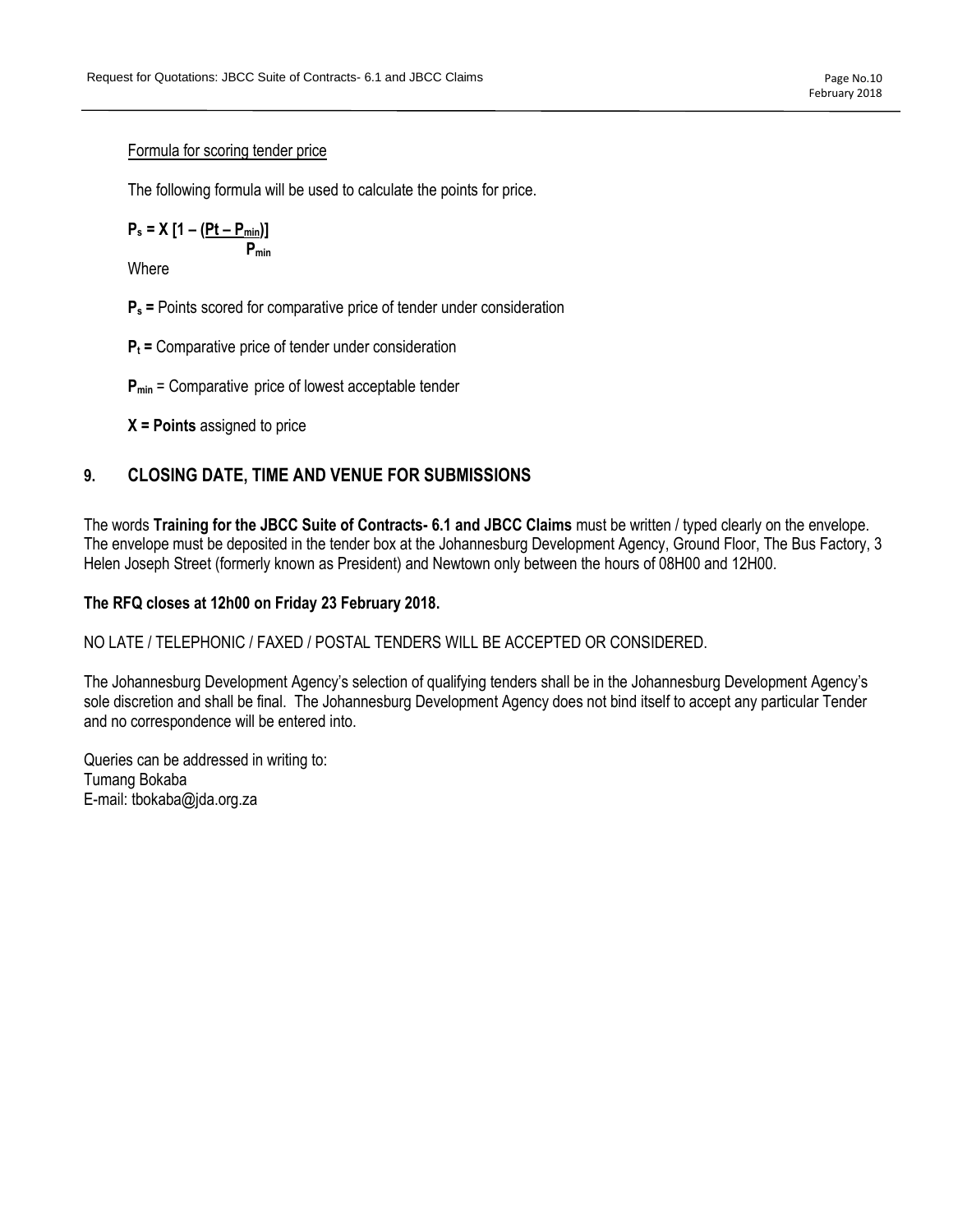#### Formula for scoring tender price

The following formula will be used to calculate the points for price.

$$
P_s = X [1 - \frac{(Pt - P_{min})}{P_{min}}]
$$

**Where** 

- **P<sup>s</sup> =** Points scored for comparative price of tender under consideration
- **P<sup>t</sup> =** Comparative price of tender under consideration
- **Pmin** = Comparative price of lowest acceptable tender
- **X = Points** assigned to price

# **9. CLOSING DATE, TIME AND VENUE FOR SUBMISSIONS**

The words **Training for the JBCC Suite of Contracts- 6.1 and JBCC Claims** must be written / typed clearly on the envelope. The envelope must be deposited in the tender box at the Johannesburg Development Agency, Ground Floor, The Bus Factory, 3 Helen Joseph Street (formerly known as President) and Newtown only between the hours of 08H00 and 12H00.

### **The RFQ closes at 12h00 on Friday 23 February 2018.**

NO LATE / TELEPHONIC / FAXED / POSTAL TENDERS WILL BE ACCEPTED OR CONSIDERED.

The Johannesburg Development Agency's selection of qualifying tenders shall be in the Johannesburg Development Agency's sole discretion and shall be final. The Johannesburg Development Agency does not bind itself to accept any particular Tender and no correspondence will be entered into.

Queries can be addressed in writing to: Tumang Bokaba E-mail: tbokaba@jda.org.za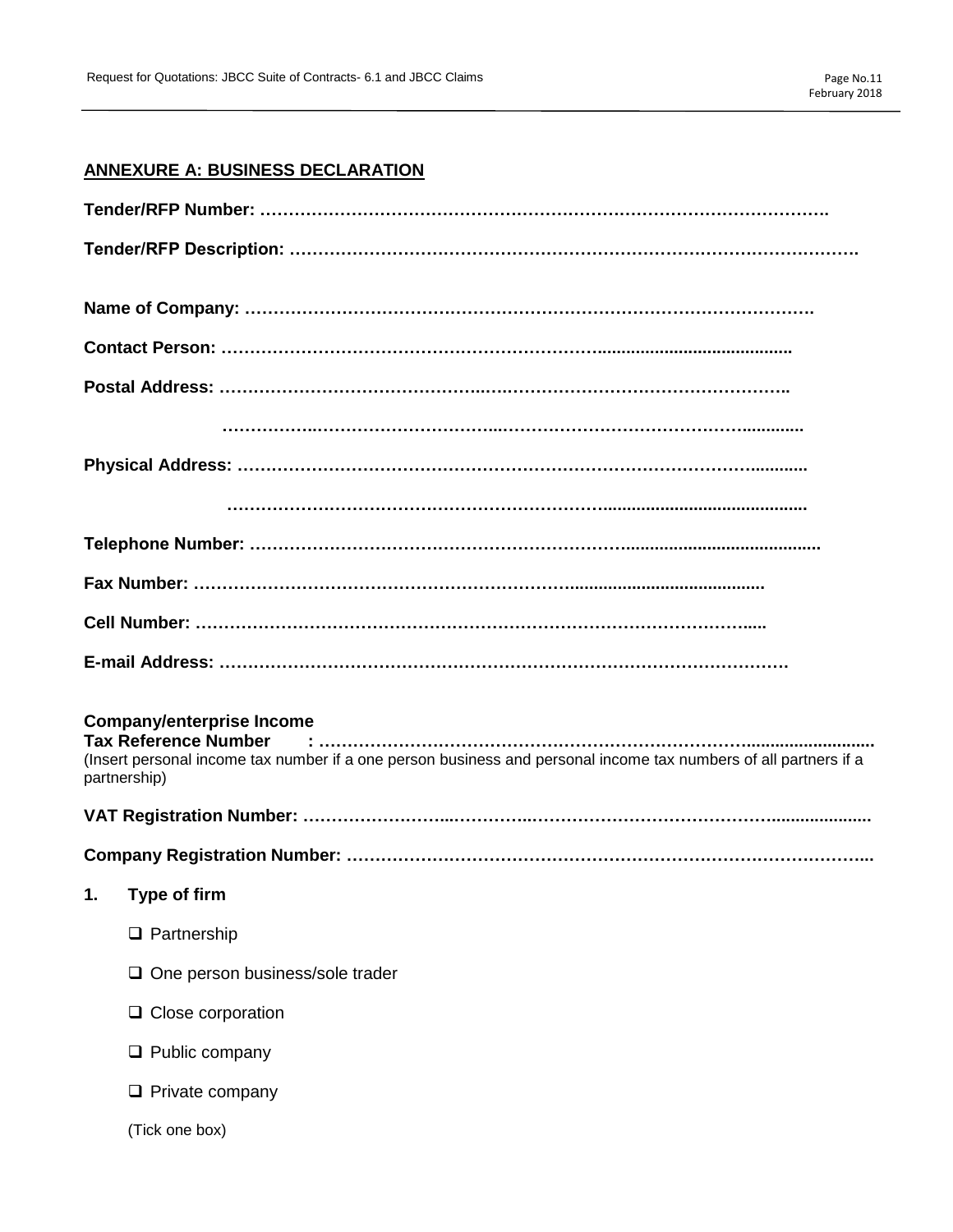# **ANNEXURE A: BUSINESS DECLARATION**

| <b>Company/enterprise Income</b><br>(Insert personal income tax number if a one person business and personal income tax numbers of all partners if a<br>partnership) |
|----------------------------------------------------------------------------------------------------------------------------------------------------------------------|
|                                                                                                                                                                      |
|                                                                                                                                                                      |
| 1.<br>Type of firm                                                                                                                                                   |
| $\Box$ Partnership                                                                                                                                                   |
| One person business/sole trader                                                                                                                                      |
| $\Box$ Close corporation                                                                                                                                             |
| $\Box$ Public company                                                                                                                                                |
| $\Box$ Private company                                                                                                                                               |
| (Tick one box)                                                                                                                                                       |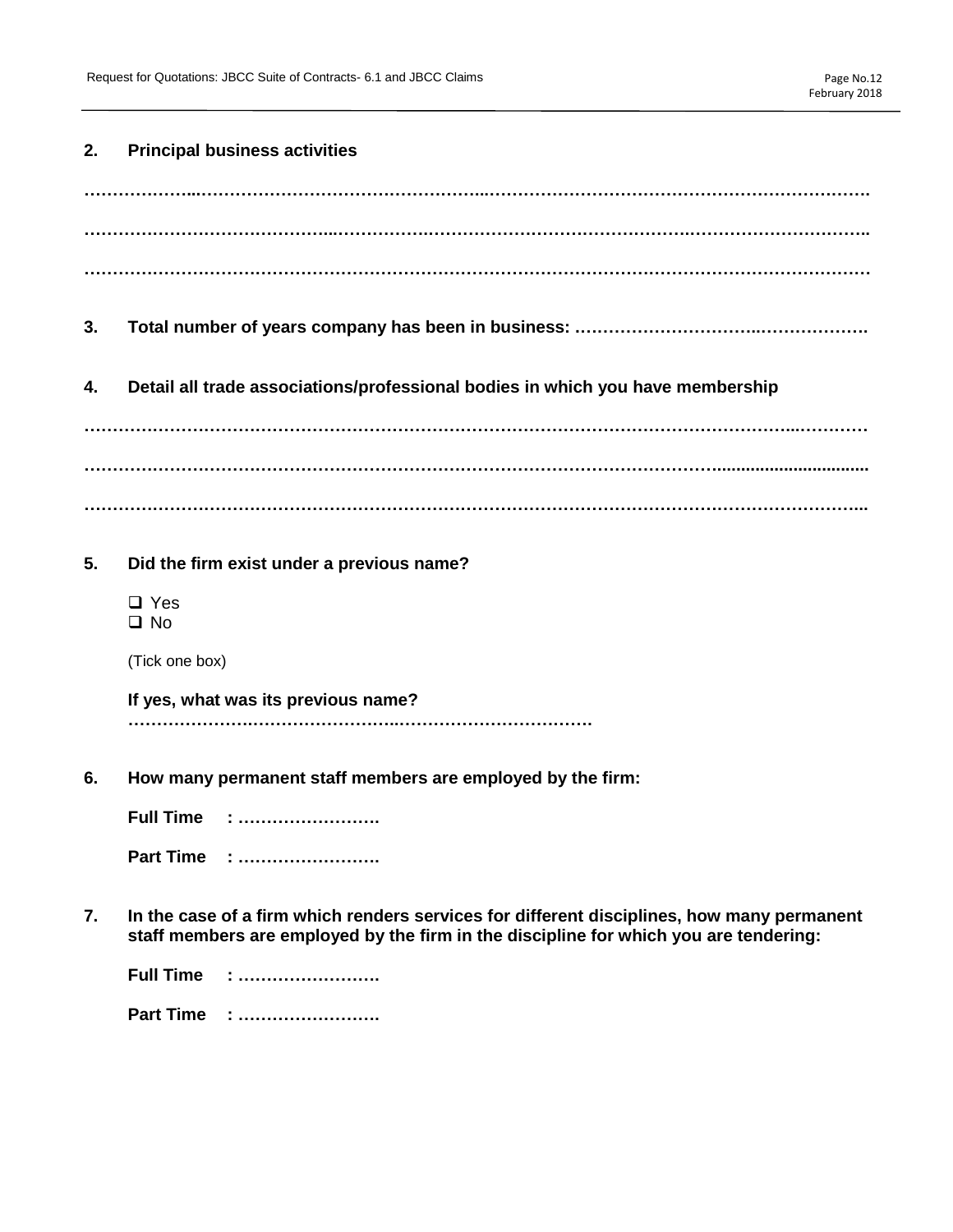### **2. Principal business activities**

**3. Total number of years company has been in business: .…………………………..……………….**

# **4. Detail all trade associations/professional bodies in which you have membership**

**……………………………………………………………………………………………………………...………… …………………………………………………………………………………………………................................ ………………………………………………………………………………………………………………………...**

**5. Did the firm exist under a previous name?**

□ Yes  $\Box$  No

(Tick one box)

**If yes, what was its previous name? ………………….……………………..…………………………….**

**6. How many permanent staff members are employed by the firm:**

**Full Time : ……………………. Part Time : …………………….**

**7. In the case of a firm which renders services for different disciplines, how many permanent staff members are employed by the firm in the discipline for which you are tendering:**

| Full Time | . |
|-----------|---|
| Part Time | . |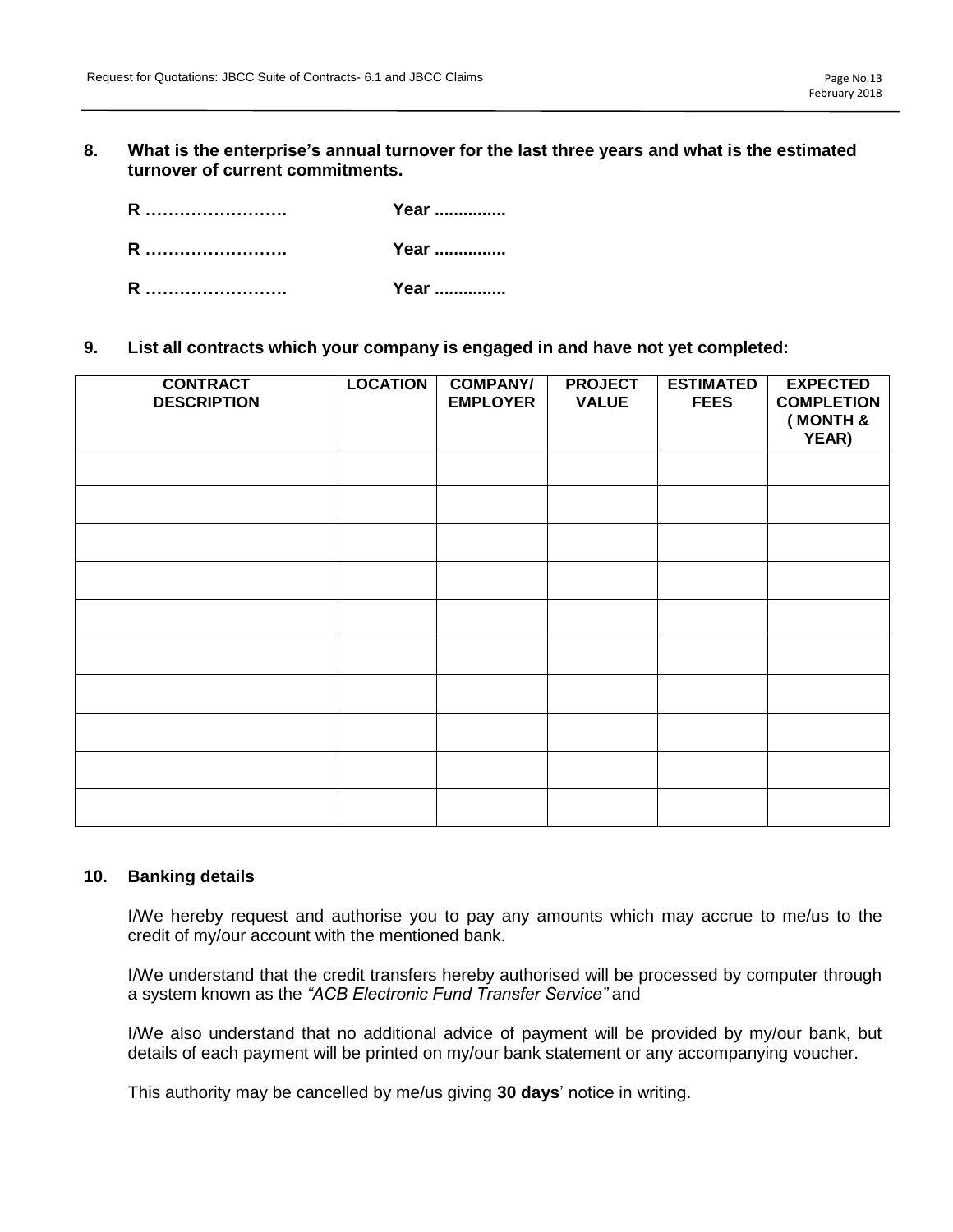**8. What is the enterprise's annual turnover for the last three years and what is the estimated turnover of current commitments.**

| R | Year |
|---|------|
| R | Year |
| R | Year |

**9. List all contracts which your company is engaged in and have not yet completed:**

| <b>CONTRACT</b><br><b>DESCRIPTION</b> | <b>LOCATION</b> | <b>COMPANY/</b><br><b>EMPLOYER</b> | <b>PROJECT</b><br><b>VALUE</b> | <b>ESTIMATED</b><br><b>FEES</b> | <b>EXPECTED</b><br><b>COMPLETION</b><br>(MONTH &<br>YEAR) |
|---------------------------------------|-----------------|------------------------------------|--------------------------------|---------------------------------|-----------------------------------------------------------|
|                                       |                 |                                    |                                |                                 |                                                           |
|                                       |                 |                                    |                                |                                 |                                                           |
|                                       |                 |                                    |                                |                                 |                                                           |
|                                       |                 |                                    |                                |                                 |                                                           |
|                                       |                 |                                    |                                |                                 |                                                           |
|                                       |                 |                                    |                                |                                 |                                                           |
|                                       |                 |                                    |                                |                                 |                                                           |
|                                       |                 |                                    |                                |                                 |                                                           |
|                                       |                 |                                    |                                |                                 |                                                           |
|                                       |                 |                                    |                                |                                 |                                                           |

### **10. Banking details**

I/We hereby request and authorise you to pay any amounts which may accrue to me/us to the credit of my/our account with the mentioned bank.

I/We understand that the credit transfers hereby authorised will be processed by computer through a system known as the *"ACB Electronic Fund Transfer Service"* and

I/We also understand that no additional advice of payment will be provided by my/our bank, but details of each payment will be printed on my/our bank statement or any accompanying voucher.

This authority may be cancelled by me/us giving **30 days**' notice in writing.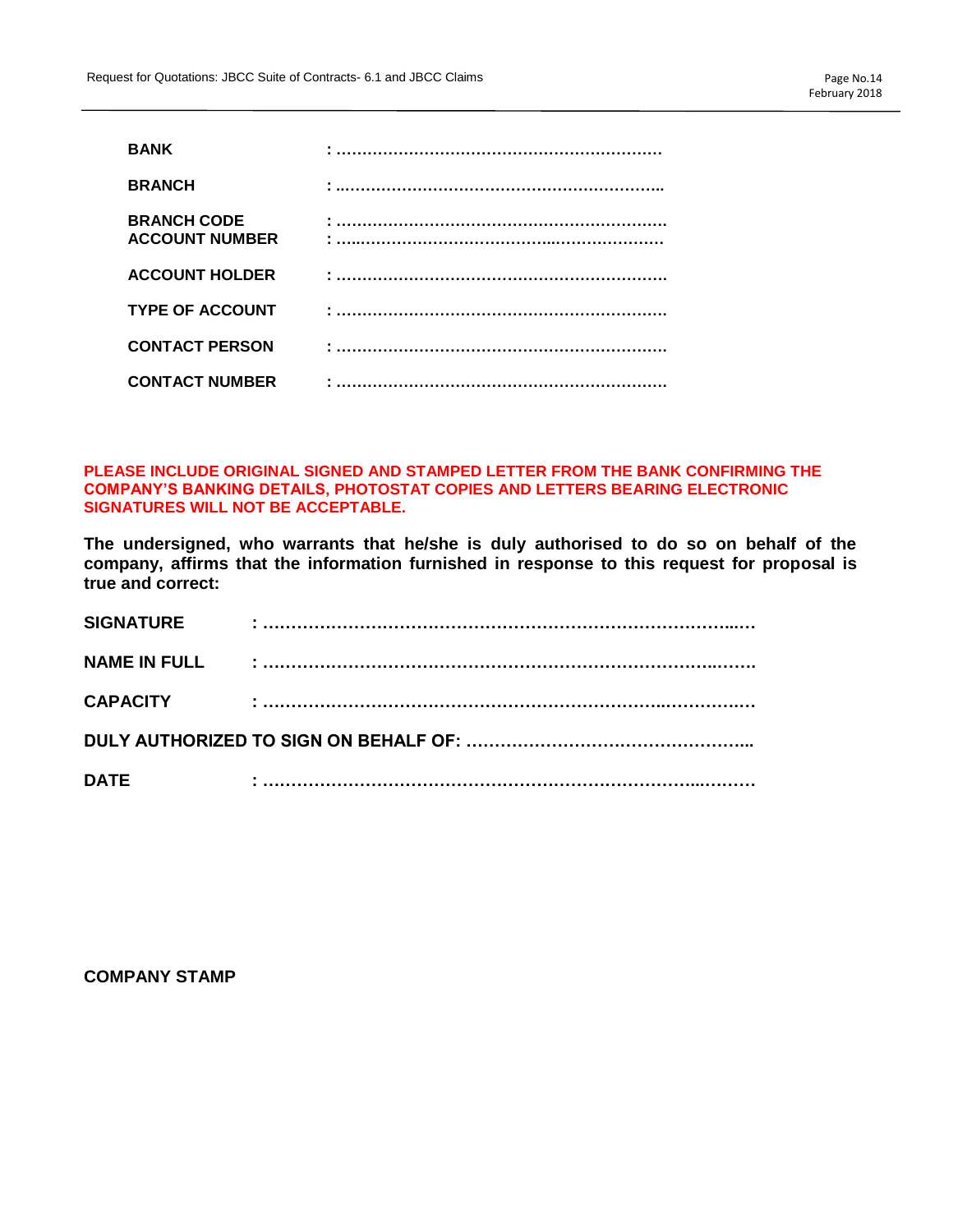| <b>BANK</b>                                 |  |
|---------------------------------------------|--|
| <b>BRANCH</b>                               |  |
| <b>BRANCH CODE</b><br><b>ACCOUNT NUMBER</b> |  |
| <b>ACCOUNT HOLDER</b>                       |  |
| <b>TYPE OF ACCOUNT</b>                      |  |
| <b>CONTACT PERSON</b>                       |  |
| <b>CONTACT NUMBER</b>                       |  |

### **PLEASE INCLUDE ORIGINAL SIGNED AND STAMPED LETTER FROM THE BANK CONFIRMING THE COMPANY'S BANKING DETAILS, PHOTOSTAT COPIES AND LETTERS BEARING ELECTRONIC SIGNATURES WILL NOT BE ACCEPTABLE.**

**The undersigned, who warrants that he/she is duly authorised to do so on behalf of the company, affirms that the information furnished in response to this request for proposal is true and correct:**

| <b>SIGNATURE</b>    |  |
|---------------------|--|
| <b>NAME IN FULL</b> |  |
| <b>CAPACITY</b>     |  |
|                     |  |
| <b>DATE</b>         |  |

**COMPANY STAMP**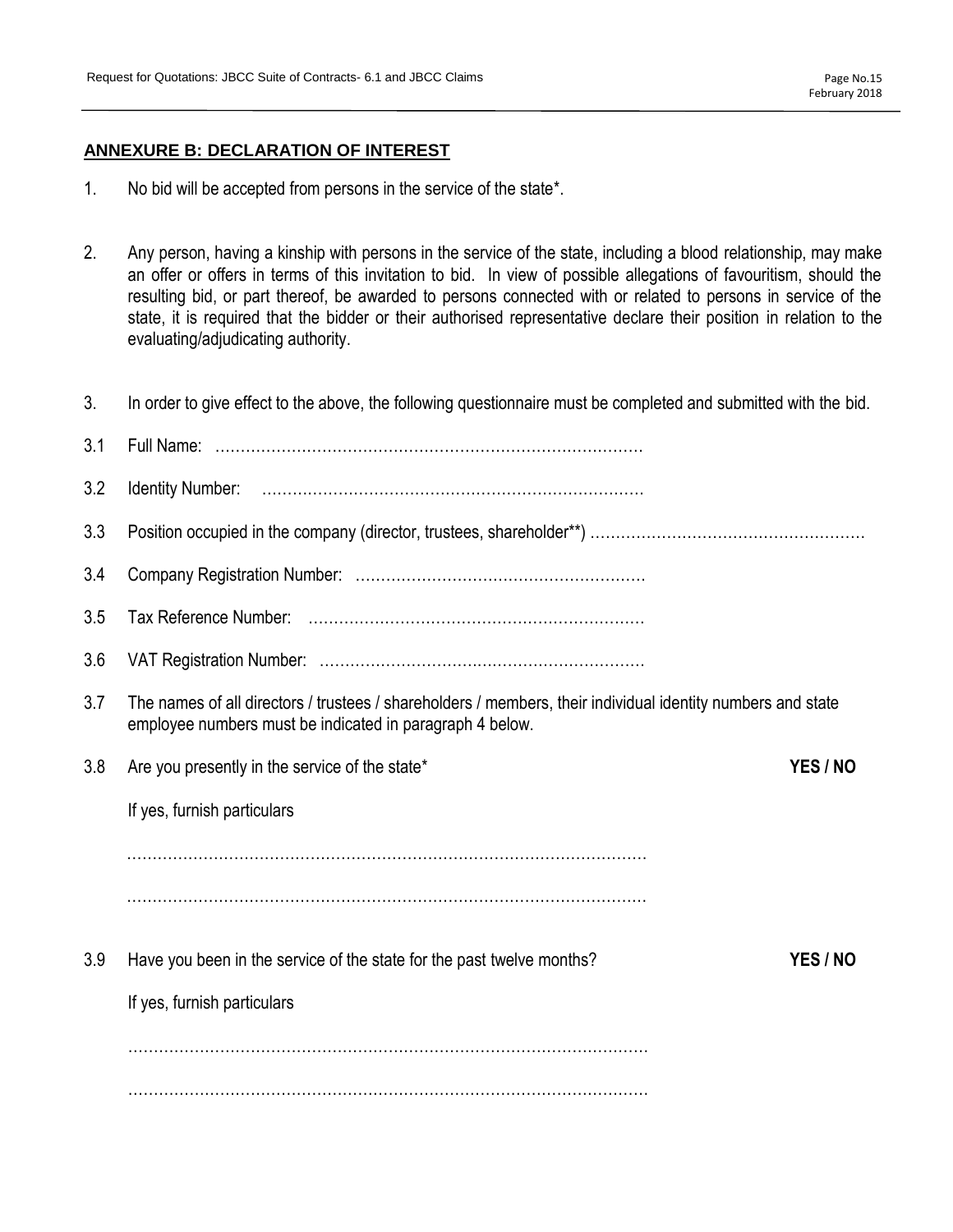# **ANNEXURE B: DECLARATION OF INTEREST**

- 1. No bid will be accepted from persons in the service of the state\*.
- 2. Any person, having a kinship with persons in the service of the state, including a blood relationship, may make an offer or offers in terms of this invitation to bid. In view of possible allegations of favouritism, should the resulting bid, or part thereof, be awarded to persons connected with or related to persons in service of the state, it is required that the bidder or their authorised representative declare their position in relation to the evaluating/adjudicating authority.
- 3. In order to give effect to the above, the following questionnaire must be completed and submitted with the bid.

| 3.1 |                                                                                                                                                                         |          |
|-----|-------------------------------------------------------------------------------------------------------------------------------------------------------------------------|----------|
| 3.2 |                                                                                                                                                                         |          |
| 3.3 |                                                                                                                                                                         |          |
| 3.4 |                                                                                                                                                                         |          |
| 3.5 |                                                                                                                                                                         |          |
| 3.6 |                                                                                                                                                                         |          |
| 3.7 | The names of all directors / trustees / shareholders / members, their individual identity numbers and state<br>employee numbers must be indicated in paragraph 4 below. |          |
| 3.8 | Are you presently in the service of the state*                                                                                                                          | YES / NO |
|     | If yes, furnish particulars                                                                                                                                             |          |
|     |                                                                                                                                                                         |          |
|     |                                                                                                                                                                         |          |
| 3.9 | Have you been in the service of the state for the past twelve months?                                                                                                   | YES / NO |
|     | If yes, furnish particulars                                                                                                                                             |          |
|     |                                                                                                                                                                         |          |
|     |                                                                                                                                                                         |          |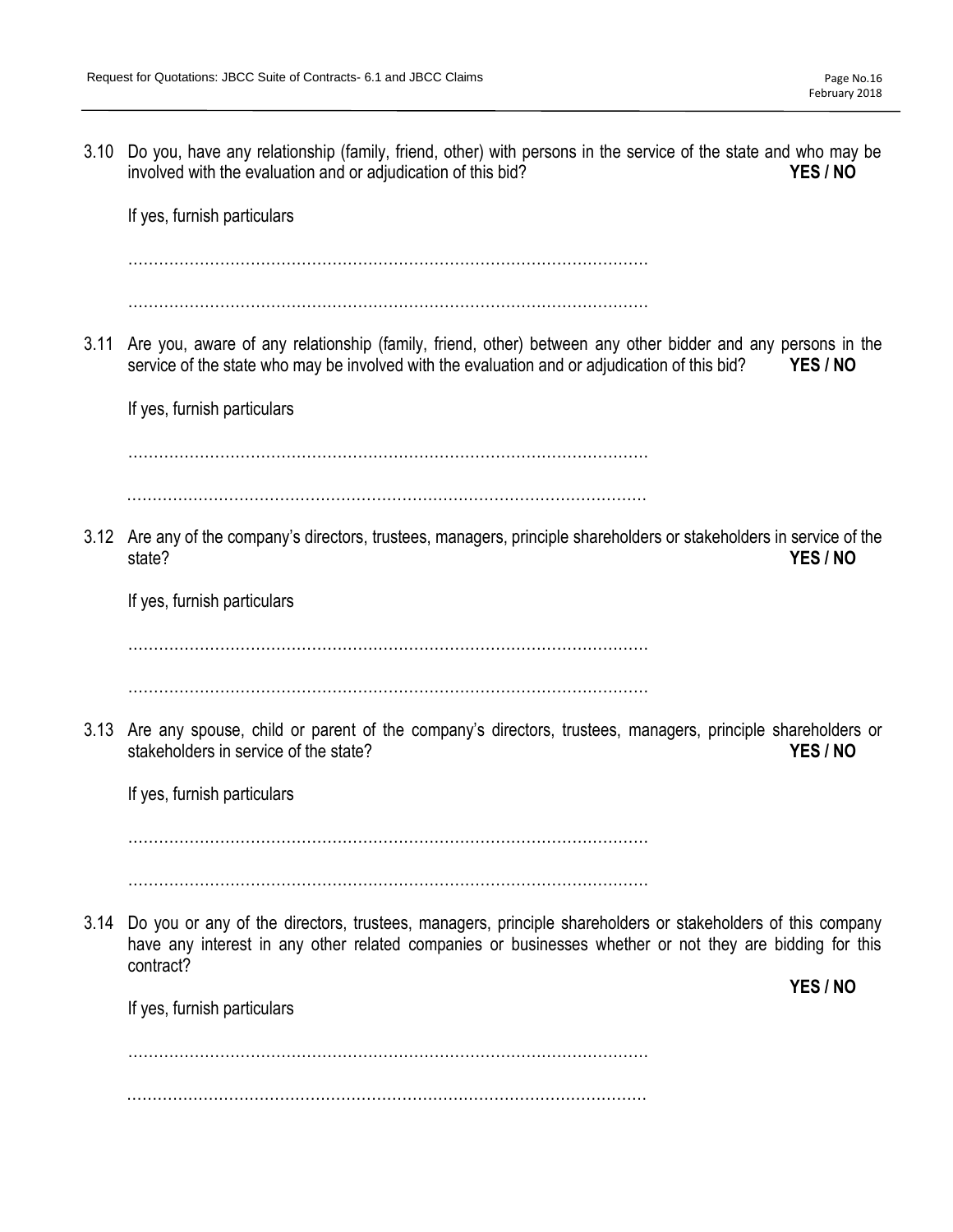involved with the evaluation and or adjudication of this bid? **YES / NO** If yes, furnish particulars ………………………………………………………………………………………… ………………………………………………………………………………………… 3.11 Are you, aware of any relationship (family, friend, other) between any other bidder and any persons in the service of the state who may be involved with the evaluation and or adjudication of this bid? **YES / NO** If yes, furnish particulars ………………………………………………………………………………………… ………………………………………………………………………………………… 3.12 Are any of the company's directors, trustees, managers, principle shareholders or stakeholders in service of the state? **YES / NO** If yes, furnish particulars ………………………………………………………………………………………… ………………………………………………………………………………………… 3.13 Are any spouse, child or parent of the company's directors, trustees, managers, principle shareholders or stakeholders in service of the state? **YES / NO** If yes, furnish particulars ………………………………………………………………………………………… ………………………………………………………………………………………… 3.14 Do you or any of the directors, trustees, managers, principle shareholders or stakeholders of this company have any interest in any other related companies or businesses whether or not they are bidding for this contract? **YES / NO** If yes, furnish particulars . The same state of the same state of the same state of the same state of the same state of the same state of the same state of the same state of the same state of the same state of the same state of the same state of the …………………………………………………………………………………………

3.10 Do you, have any relationship (family, friend, other) with persons in the service of the state and who may be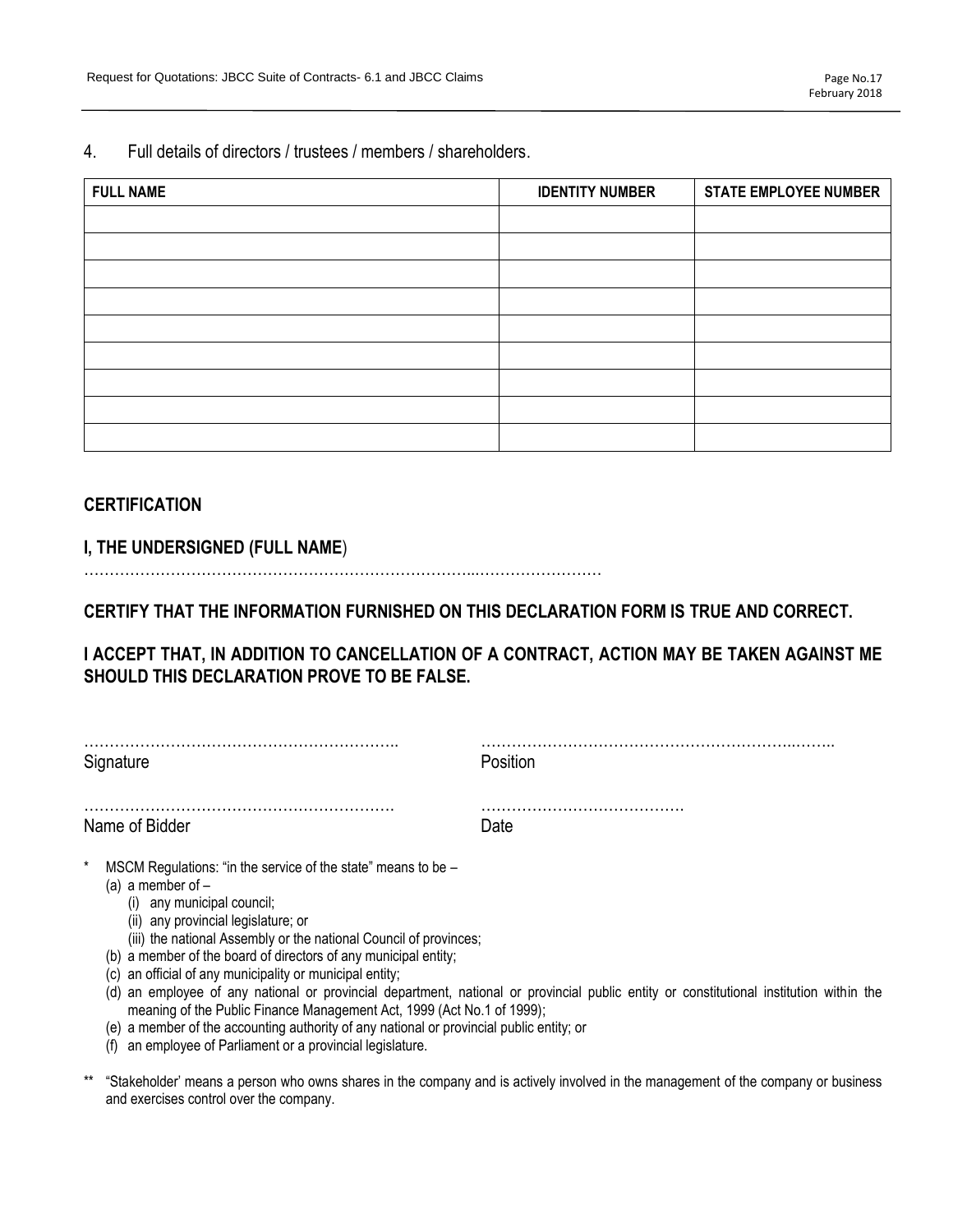4. Full details of directors / trustees / members / shareholders.

| <b>FULL NAME</b> | <b>IDENTITY NUMBER</b> | <b>STATE EMPLOYEE NUMBER</b> |
|------------------|------------------------|------------------------------|
|                  |                        |                              |
|                  |                        |                              |
|                  |                        |                              |
|                  |                        |                              |
|                  |                        |                              |
|                  |                        |                              |
|                  |                        |                              |
|                  |                        |                              |
|                  |                        |                              |

# **CERTIFICATION**

# **I, THE UNDERSIGNED (FULL NAME**)

…………………………………………………………………...……………………

**CERTIFY THAT THE INFORMATION FURNISHED ON THIS DECLARATION FORM IS TRUE AND CORRECT.** 

**I ACCEPT THAT, IN ADDITION TO CANCELLATION OF A CONTRACT, ACTION MAY BE TAKEN AGAINST ME SHOULD THIS DECLARATION PROVE TO BE FALSE.** 

| Signature                                                                                                                                                                                                                           | Position |  |
|-------------------------------------------------------------------------------------------------------------------------------------------------------------------------------------------------------------------------------------|----------|--|
| Name of Bidder                                                                                                                                                                                                                      | Date     |  |
| *<br>MSCM Regulations: "in the service of the state" means to be -<br>(a) a member of $-$<br>(i) any municipal council;<br>(ii) any provincial legislature; or<br>(iii) the national Assembly or the national Council of provinces; |          |  |

- (b) a member of the board of directors of any municipal entity; (c) an official of any municipality or municipal entity;
- (d) an employee of any national or provincial department, national or provincial public entity or constitutional institution within the
- meaning of the Public Finance Management Act, 1999 (Act No.1 of 1999); (e) a member of the accounting authority of any national or provincial public entity; or
- (f) an employee of Parliament or a provincial legislature.
- \*\* "Stakeholder' means a person who owns shares in the company and is actively involved in the management of the company or business and exercises control over the company.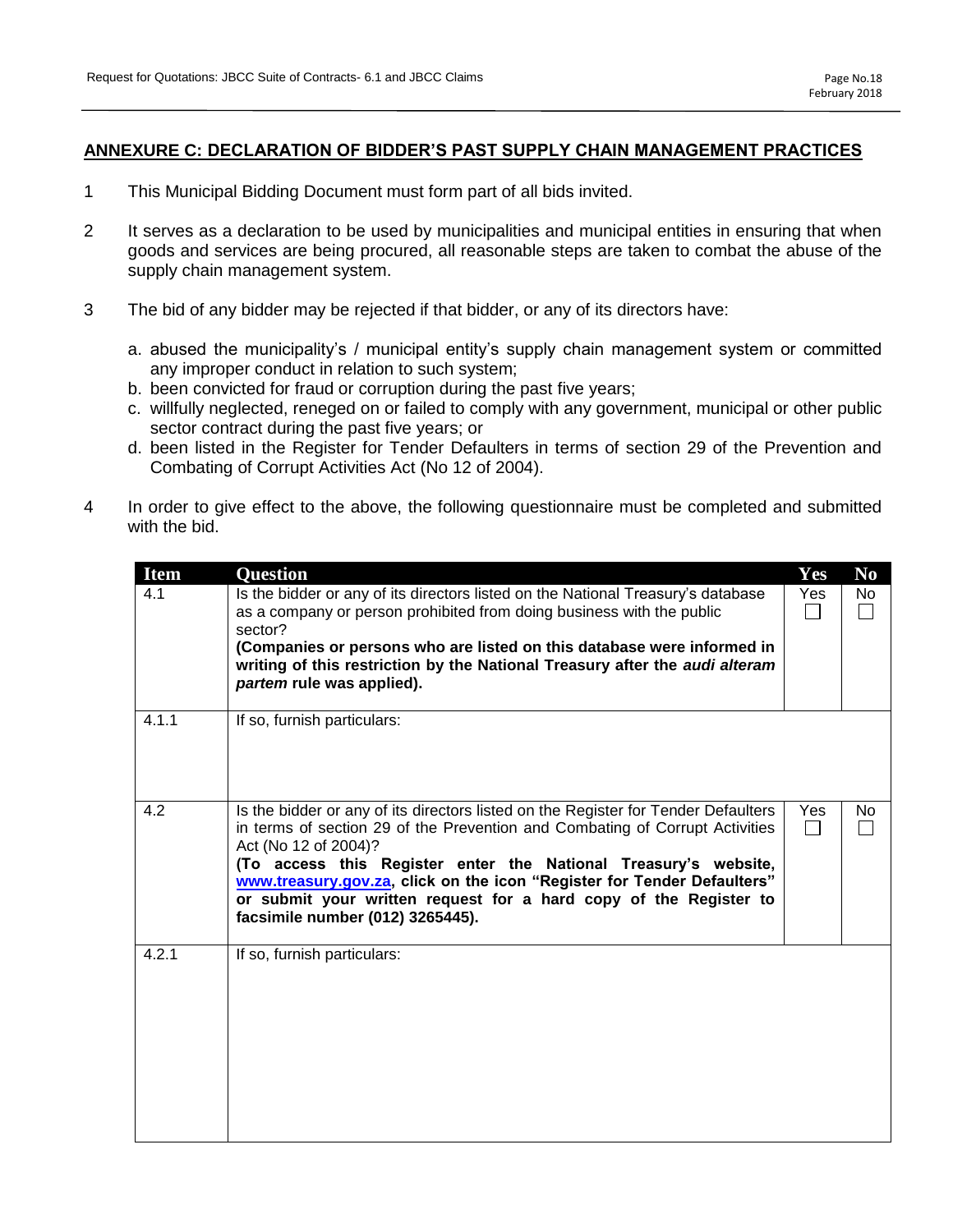# **ANNEXURE C: DECLARATION OF BIDDER'S PAST SUPPLY CHAIN MANAGEMENT PRACTICES**

- 1 This Municipal Bidding Document must form part of all bids invited.
- 2 It serves as a declaration to be used by municipalities and municipal entities in ensuring that when goods and services are being procured, all reasonable steps are taken to combat the abuse of the supply chain management system.
- 3 The bid of any bidder may be rejected if that bidder, or any of its directors have:
	- a. abused the municipality's / municipal entity's supply chain management system or committed any improper conduct in relation to such system;
	- b. been convicted for fraud or corruption during the past five years;
	- c. willfully neglected, reneged on or failed to comply with any government, municipal or other public sector contract during the past five years; or
	- d. been listed in the Register for Tender Defaulters in terms of section 29 of the Prevention and Combating of Corrupt Activities Act (No 12 of 2004).
- 4 In order to give effect to the above, the following questionnaire must be completed and submitted with the bid.

| <b>Item</b> | <b>Question</b>                                                                                                                                                                                                                                                                                                                                                                                                                                   | Yes                 | N <sub>0</sub> |
|-------------|---------------------------------------------------------------------------------------------------------------------------------------------------------------------------------------------------------------------------------------------------------------------------------------------------------------------------------------------------------------------------------------------------------------------------------------------------|---------------------|----------------|
| 4.1         | Is the bidder or any of its directors listed on the National Treasury's database<br>as a company or person prohibited from doing business with the public<br>sector?<br>(Companies or persons who are listed on this database were informed in<br>writing of this restriction by the National Treasury after the audi alteram<br>partem rule was applied).                                                                                        | Yes                 | No             |
| 4.1.1       | If so, furnish particulars:                                                                                                                                                                                                                                                                                                                                                                                                                       |                     |                |
| 4.2         | Is the bidder or any of its directors listed on the Register for Tender Defaulters<br>in terms of section 29 of the Prevention and Combating of Corrupt Activities<br>Act (No 12 of 2004)?<br>(To access this Register enter the National Treasury's website,<br>www.treasury.gov.za, click on the icon "Register for Tender Defaulters"<br>or submit your written request for a hard copy of the Register to<br>facsimile number (012) 3265445). | Yes<br>$\mathsf{L}$ | No.            |
| 4.2.1       | If so, furnish particulars:                                                                                                                                                                                                                                                                                                                                                                                                                       |                     |                |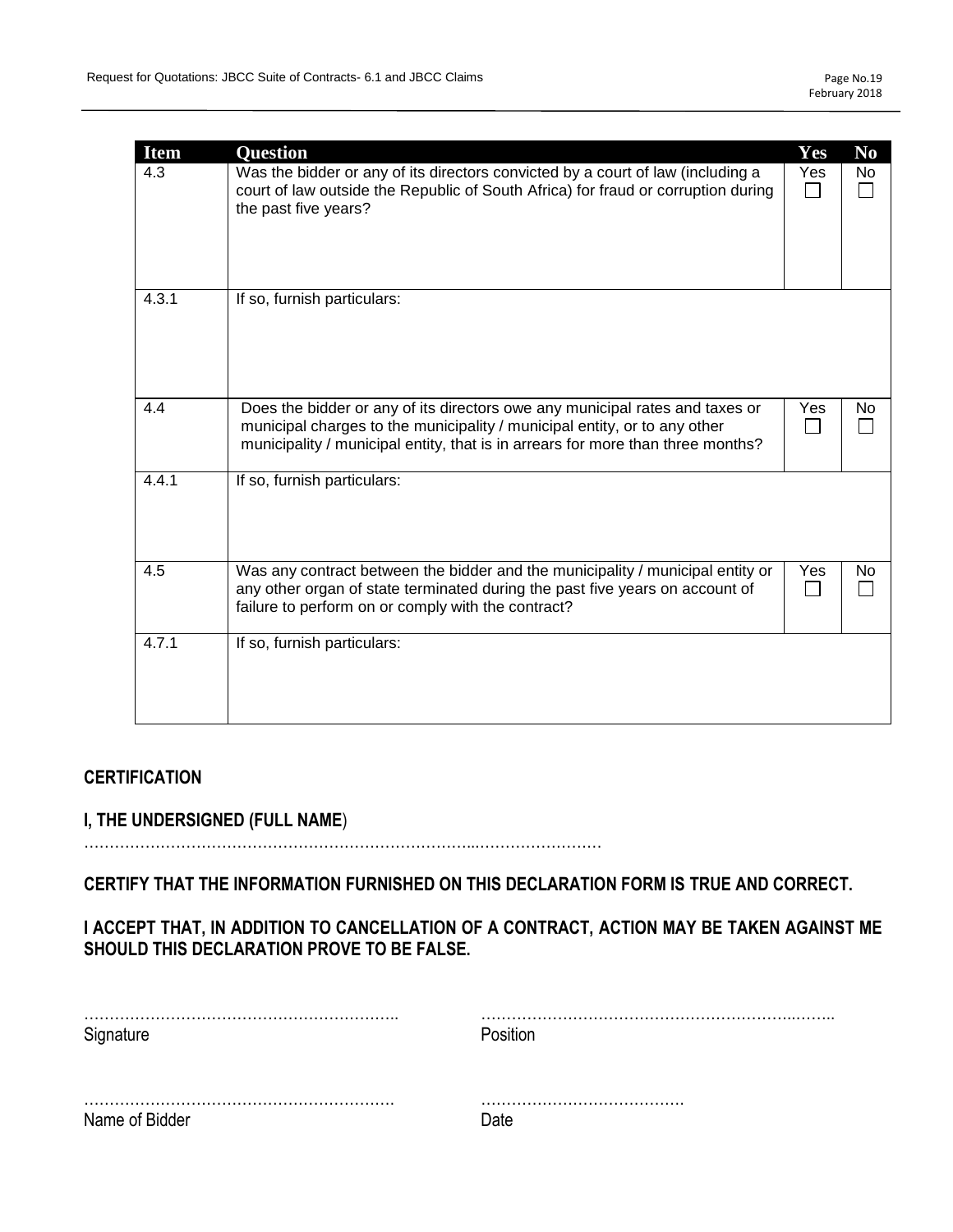| <b>Item</b> | <b>Question</b>                                                                                                                                                                                                                              | Yes | N <sub>0</sub> |
|-------------|----------------------------------------------------------------------------------------------------------------------------------------------------------------------------------------------------------------------------------------------|-----|----------------|
| 4.3         | Was the bidder or any of its directors convicted by a court of law (including a<br>court of law outside the Republic of South Africa) for fraud or corruption during<br>the past five years?                                                 | Yes | No             |
| 4.3.1       | If so, furnish particulars:                                                                                                                                                                                                                  |     |                |
| 4.4         | Does the bidder or any of its directors owe any municipal rates and taxes or<br>municipal charges to the municipality / municipal entity, or to any other<br>municipality / municipal entity, that is in arrears for more than three months? | Yes | No             |
| 4.4.1       | If so, furnish particulars:                                                                                                                                                                                                                  |     |                |
| 4.5         | Was any contract between the bidder and the municipality / municipal entity or<br>any other organ of state terminated during the past five years on account of<br>failure to perform on or comply with the contract?                         | Yes | No.            |
| 4.7.1       | If so, furnish particulars:                                                                                                                                                                                                                  |     |                |

# **CERTIFICATION**

# **I, THE UNDERSIGNED (FULL NAME**)

…………………………………………………………………...……………………

**CERTIFY THAT THE INFORMATION FURNISHED ON THIS DECLARATION FORM IS TRUE AND CORRECT.** 

# **I ACCEPT THAT, IN ADDITION TO CANCELLATION OF A CONTRACT, ACTION MAY BE TAKEN AGAINST ME SHOULD THIS DECLARATION PROVE TO BE FALSE.**

| Signature      | Position |
|----------------|----------|
|                |          |
| Name of Bidder | Ateר     |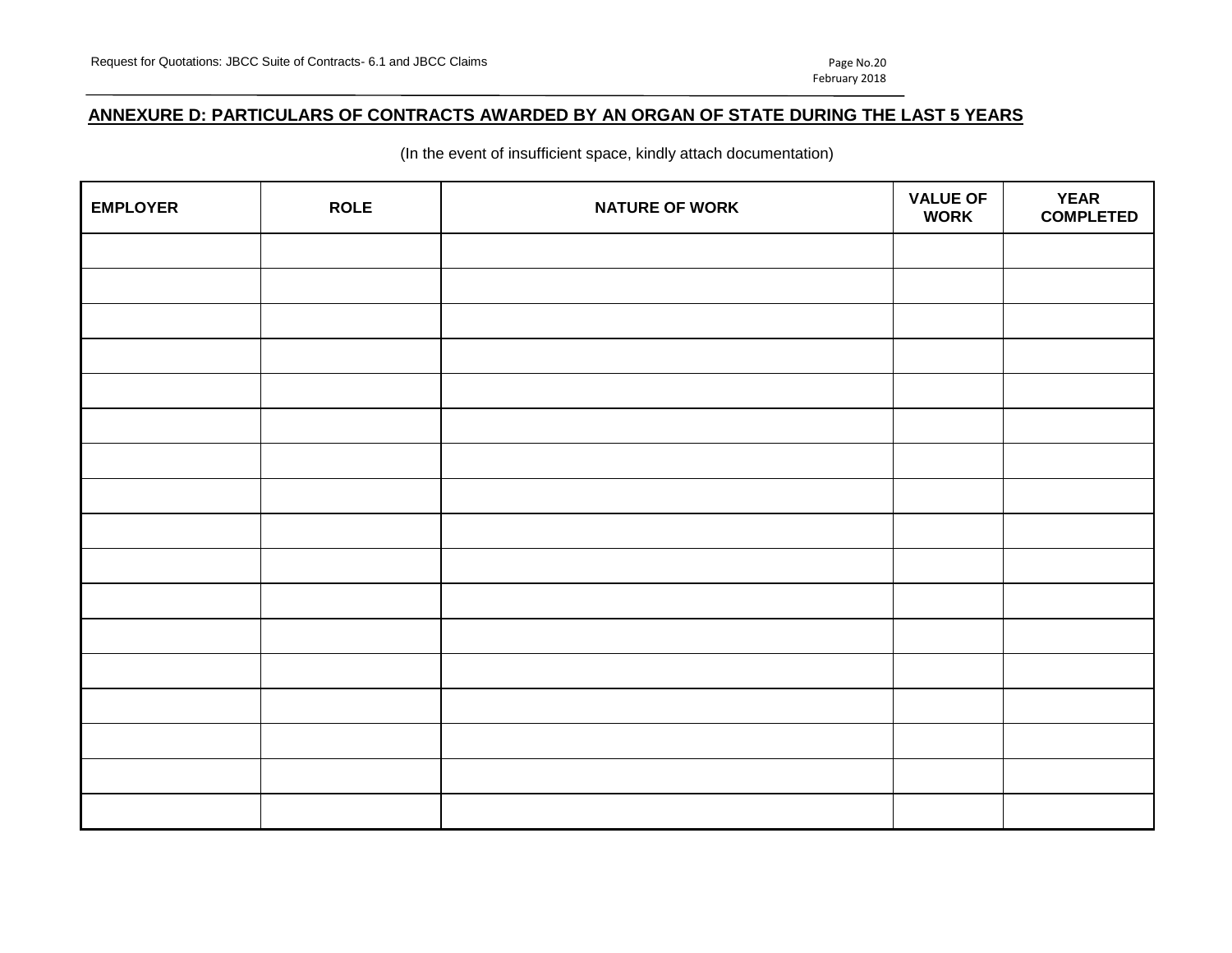# **ANNEXURE D: PARTICULARS OF CONTRACTS AWARDED BY AN ORGAN OF STATE DURING THE LAST 5 YEARS**

(In the event of insufficient space, kindly attach documentation)

| <b>EMPLOYER</b> | <b>ROLE</b> | <b>NATURE OF WORK</b> | <b>VALUE OF</b><br><b>WORK</b> | <b>YEAR</b><br><b>COMPLETED</b> |
|-----------------|-------------|-----------------------|--------------------------------|---------------------------------|
|                 |             |                       |                                |                                 |
|                 |             |                       |                                |                                 |
|                 |             |                       |                                |                                 |
|                 |             |                       |                                |                                 |
|                 |             |                       |                                |                                 |
|                 |             |                       |                                |                                 |
|                 |             |                       |                                |                                 |
|                 |             |                       |                                |                                 |
|                 |             |                       |                                |                                 |
|                 |             |                       |                                |                                 |
|                 |             |                       |                                |                                 |
|                 |             |                       |                                |                                 |
|                 |             |                       |                                |                                 |
|                 |             |                       |                                |                                 |
|                 |             |                       |                                |                                 |
|                 |             |                       |                                |                                 |
|                 |             |                       |                                |                                 |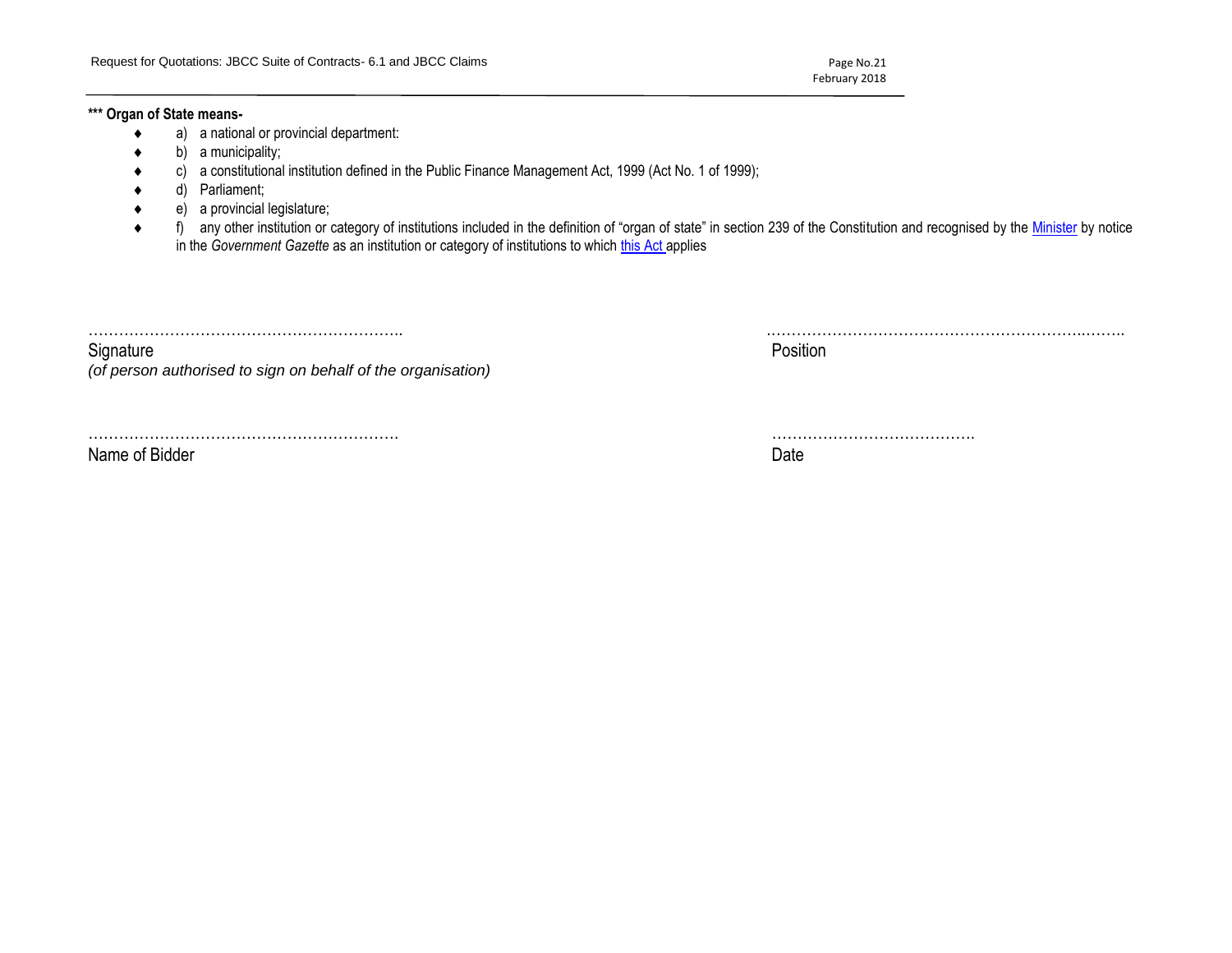February 2018

### **\*\*\* Organ of State means-**

- a) a national or provincial department:
- b) a municipality;
- c) a constitutional institution defined in the Public Finance Management Act, 1999 (Act No. 1 of 1999);
- d) Parliament;
- e) a provincial legislature;
- ◆ f) any other institution or category of institutions included in the definition of "organ of state" in section 239 of the Constitution and recognised by the [Minister](javascript:void(0);) by notice in the *Government Gazette* as an institution or category of institutions to which [this Act](javascript:void(0);) applies

…………………………………………………….. .……………………………………………………..……..

Signature Position is a set of the contract of the contract of the contract of the contract of the contract of *(of person authorised to sign on behalf of the organisation)*

……………………………………………………. ………………………………….

Name of Bidder **Date**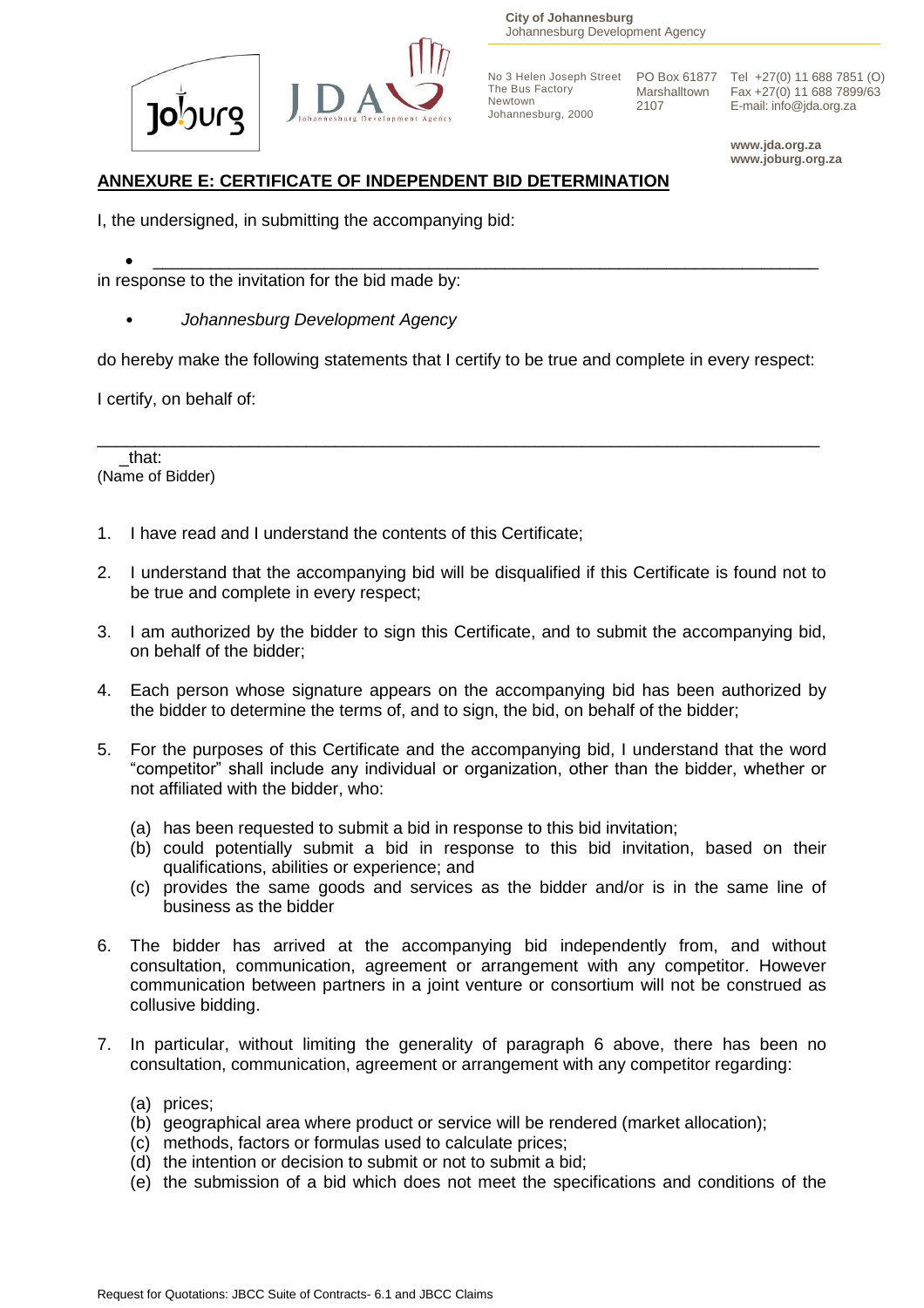

**City of Johannesburg** Johannesburg Development Agency

The Bus Factory Newtown Johannesburg, 2000

2107

No 3 Helen Joseph Street PO Box 61877 Tel +27(0) 11 688 7851 (O) Marshalltown Fax +27(0) 11 688 7899/63 E-mail: info@jda.org.za

> **www.jda.org.za www.joburg.org.za**

# **ANNEXURE E: CERTIFICATE OF INDEPENDENT BID DETERMINATION**

I, the undersigned, in submitting the accompanying bid:

 $\bullet$   $\overbrace{\phantom{xxxxx}}$  ,  $\overbrace{\phantom{xxxxx}}$  ,  $\overbrace{\phantom{xxxxx}}$  ,  $\overbrace{\phantom{xxxxx}}$  ,  $\overbrace{\phantom{xxxxx}}$  ,  $\overbrace{\phantom{xxxxx}}$  ,  $\overbrace{\phantom{xxxxx}}$  ,  $\overbrace{\phantom{xxxxx}}$  ,  $\overbrace{\phantom{xxxxx}}$  ,  $\overbrace{\phantom{xxxxx}}$  ,  $\overbrace{\phantom{xxxxx}}$  ,  $\overbrace{\phantom{xxxxx}}$  ,  $\overbrace{\phantom{xxxxx}}$  ,  $\overbrace{\phantom{xxxxx}}$  ,  $\overbrace{\phant$ in response to the invitation for the bid made by:

• *Johannesburg Development Agency*

do hereby make the following statements that I certify to be true and complete in every respect:

\_\_\_\_\_\_\_\_\_\_\_\_\_\_\_\_\_\_\_\_\_\_\_\_\_\_\_\_\_\_\_\_\_\_\_\_\_\_\_\_\_\_\_\_\_\_\_\_\_\_\_\_\_\_\_\_\_\_\_\_\_\_\_\_\_\_\_\_\_\_\_\_\_\_\_\_

I certify, on behalf of:

\_that: (Name of Bidder)

- 1. I have read and I understand the contents of this Certificate;
- 2. I understand that the accompanying bid will be disqualified if this Certificate is found not to be true and complete in every respect;
- 3. I am authorized by the bidder to sign this Certificate, and to submit the accompanying bid, on behalf of the bidder;
- 4. Each person whose signature appears on the accompanying bid has been authorized by the bidder to determine the terms of, and to sign, the bid, on behalf of the bidder;
- 5. For the purposes of this Certificate and the accompanying bid, I understand that the word "competitor" shall include any individual or organization, other than the bidder, whether or not affiliated with the bidder, who:
	- (a) has been requested to submit a bid in response to this bid invitation;
	- (b) could potentially submit a bid in response to this bid invitation, based on their qualifications, abilities or experience; and
	- (c) provides the same goods and services as the bidder and/or is in the same line of business as the bidder
- 6. The bidder has arrived at the accompanying bid independently from, and without consultation, communication, agreement or arrangement with any competitor. However communication between partners in a joint venture or consortium will not be construed as collusive bidding.
- 7. In particular, without limiting the generality of paragraph 6 above, there has been no consultation, communication, agreement or arrangement with any competitor regarding:
	- (a) prices;
	- (b) geographical area where product or service will be rendered (market allocation);
	- (c) methods, factors or formulas used to calculate prices;
	- (d) the intention or decision to submit or not to submit a bid;
	- (e) the submission of a bid which does not meet the specifications and conditions of the